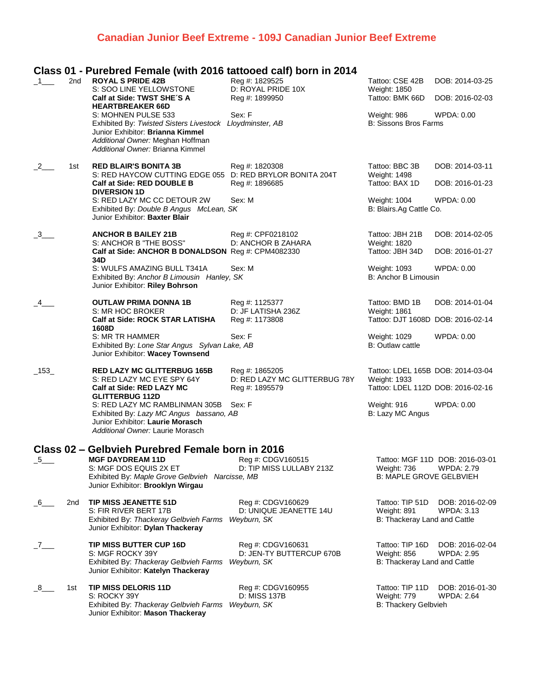## **Canadian Junior Beef Extreme - 109J Canadian Junior Beef Extreme**

### **Class 01 - Purebred Female (with 2016 tattooed calf) born in 2014**

| $-1$ —             | 2 <sub>nd</sub> | <b>ROYAL S PRIDE 42B</b><br>S: SOO LINE YELLOWSTONE                                                                                                                                         | Reg #: 1829525<br>D: ROYAL PRIDE 10X                              | Tattoo: CSE 42B<br>Weight: 1850                                                        | DOB: 2014-03-25                                      |
|--------------------|-----------------|---------------------------------------------------------------------------------------------------------------------------------------------------------------------------------------------|-------------------------------------------------------------------|----------------------------------------------------------------------------------------|------------------------------------------------------|
|                    |                 | Calf at Side: TWST SHE'S A<br><b>HEARTBREAKER 66D</b>                                                                                                                                       | Reg #: 1899950                                                    | Tattoo: BMK 66D                                                                        | DOB: 2016-02-03                                      |
|                    |                 | S: MOHNEN PULSE 533<br>Exhibited By: Twisted Sisters Livestock Lloydminster, AB<br>Junior Exhibitor: Brianna Kimmel<br>Additional Owner: Meghan Hoffman<br>Additional Owner: Brianna Kimmel | Sex: F                                                            | Weight: 986<br><b>B: Sissons Bros Farms</b>                                            | WPDA: 0.00                                           |
| $-2$               | 1st             | <b>RED BLAIR'S BONITA 3B</b><br>S: RED HAYCOW CUTTING EDGE 055 D: RED BRYLOR BONITA 204T                                                                                                    | Reg #: 1820308                                                    | Tattoo: BBC 3B<br>Weight: 1498                                                         | DOB: 2014-03-11                                      |
|                    |                 | Calf at Side: RED DOUBLE B<br><b>DIVERSION 1D</b>                                                                                                                                           | Reg #: 1896685                                                    | Tattoo: BAX 1D                                                                         | DOB: 2016-01-23                                      |
|                    |                 | S: RED LAZY MC CC DETOUR 2W<br>Exhibited By: Double B Angus McLean, SK<br>Junior Exhibitor: Baxter Blair                                                                                    | Sex: M                                                            | Weight: 1004<br>B: Blairs.Ag Cattle Co.                                                | WPDA: 0.00                                           |
| $-3$               |                 | <b>ANCHOR B BAILEY 21B</b><br>S: ANCHOR B "THE BOSS"                                                                                                                                        | Reg #: CPF0218102<br>D: ANCHOR B ZAHARA                           | Tattoo: JBH 21B<br>Weight: 1820                                                        | DOB: 2014-02-05                                      |
|                    |                 | Calf at Side: ANCHOR B DONALDSON Reg #: CPM4082330<br>34D                                                                                                                                   |                                                                   | Tattoo: JBH 34D                                                                        | DOB: 2016-01-27                                      |
|                    |                 | S: WULFS AMAZING BULL T341A<br>Exhibited By: Anchor B Limousin Hanley, SK<br>Junior Exhibitor: Riley Bohrson                                                                                | Sex: M                                                            | Weight: 1093<br>B: Anchor B Limousin                                                   | <b>WPDA: 0.00</b>                                    |
| $-4$               |                 | <b>OUTLAW PRIMA DONNA 1B</b><br>S: MR HOC BROKER                                                                                                                                            | Reg #: 1125377<br>D: JF LATISHA 236Z                              | Tattoo: BMD 1B<br>Weight: 1861                                                         | DOB: 2014-01-04                                      |
|                    |                 | <b>Calf at Side: ROCK STAR LATISHA</b><br>1608D                                                                                                                                             | Reg #: 1173808                                                    | Tattoo: DJT 1608D DOB: 2016-02-14                                                      |                                                      |
|                    |                 | S: MR TR HAMMER<br>Exhibited By: Lone Star Angus Sylvan Lake, AB<br>Junior Exhibitor: Wacey Townsend                                                                                        | Sex: F                                                            | Weight: 1029<br>B: Outlaw cattle                                                       | WPDA: 0.00                                           |
| $\_153$            |                 | <b>RED LAZY MC GLITTERBUG 165B</b><br>S: RED LAZY MC EYE SPY 64Y<br>Calf at Side: RED LAZY MC                                                                                               | Reg #: 1865205<br>D: RED LAZY MC GLITTERBUG 78Y<br>Reg #: 1895579 | Tattoo: LDEL 165B DOB: 2014-03-04<br>Weight: 1933<br>Tattoo: LDEL 112D DOB: 2016-02-16 |                                                      |
|                    |                 | <b>GLITTERBUG 112D</b><br>S: RED LAZY MC RAMBLINMAN 305B Sex: F<br>Exhibited By: Lazy MC Angus bassano, AB<br>Junior Exhibitor: Laurie Morasch<br>Additional Owner: Laurie Morasch          |                                                                   | Weight: 916<br>B: Lazy MC Angus                                                        | WPDA: 0.00                                           |
|                    |                 | Class 02 - Gelbvieh Purebred Female born in 2016                                                                                                                                            |                                                                   |                                                                                        |                                                      |
| $-5$ <sub>——</sub> |                 | <b>MGF DAYDREAM 11D</b><br>S: MGF DOS EQUIS 2X ET<br>Exhibited By: Maple Grove Gelbvieh Narcisse, MB<br>Junior Exhibitor: Brooklyn Wirgau                                                   | Reg #: CDGV160515<br>D: TIP MISS LULLABY 213Z                     | Weight: 736<br><b>B: MAPLE GROVE GELBVIEH</b>                                          | Tattoo: MGF 11D DOB: 2016-03-01<br><b>WPDA: 2.79</b> |
| $6-$               | 2 <sub>nd</sub> | <b>TIP MISS JEANETTE 51D</b><br>S: FIR RIVER BERT 17B<br>Exhibited By: Thackeray Gelbvieh Farms<br>Junior Exhibitor: Dylan Thackeray                                                        | Reg #: CDGV160629<br>D: UNIQUE JEANETTE 14U<br>Weyburn, SK        | Tattoo: TIP 51D<br>Weight: 891<br>B: Thackeray Land and Cattle                         | DOB: 2016-02-09<br>WPDA: 3.13                        |
| $\overline{a}$     |                 | TIP MISS BUTTER CUP 16D<br>S: MGF ROCKY 39Y<br>Exhibited By: Thackeray Gelbvieh Farms<br>Junior Exhibitor: Katelyn Thackeray                                                                | Reg #: CDGV160631<br>D: JEN-TY BUTTERCUP 670B<br>Weyburn, SK      | Tattoo: TIP 16D<br>Weight: 856<br>B: Thackeray Land and Cattle                         | DOB: 2016-02-04<br><b>WPDA: 2.95</b>                 |
| $8_{-}$            | 1st             | TIP MISS DELORIS 11D<br>S: ROCKY 39Y<br>Exhibited By: Thackeray Gelbvieh Farms Weyburn, SK<br>Junior Exhibitor: Mason Thackeray                                                             | Reg #: CDGV160955<br>D: MISS 137B                                 | Tattoo: TIP 11D<br>Weight: 779<br>B: Thackery Gelbvieh                                 | DOB: 2016-01-30<br><b>WPDA: 2.64</b>                 |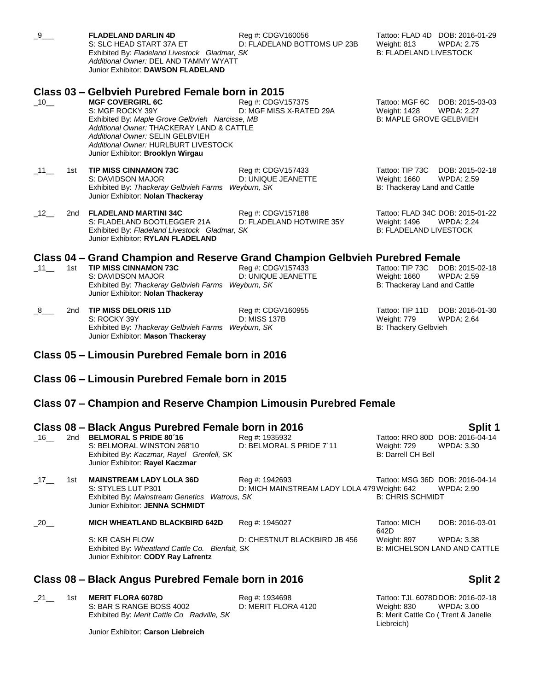| $-9$                |     | <b>FLADELAND DARLIN 4D</b><br>S: SLC HEAD START 37A ET<br>Exhibited By: Fladeland Livestock Gladmar, SK<br>Additional Owner: DEL AND TAMMY WYATT<br>Junior Exhibitor: DAWSON FLADELAND                                                                                                                           | Reg #: CDGV160056<br>D: FLADELAND BOTTOMS UP 23B               | Tattoo: FLAD 4D DOB: 2016-01-29<br>Weight: 813<br><b>B: FLADELAND LIVESTOCK</b>   | <b>WPDA: 2.75</b>                          |
|---------------------|-----|------------------------------------------------------------------------------------------------------------------------------------------------------------------------------------------------------------------------------------------------------------------------------------------------------------------|----------------------------------------------------------------|-----------------------------------------------------------------------------------|--------------------------------------------|
| $-10$               |     | Class 03 - Gelbvieh Purebred Female born in 2015<br><b>MGF COVERGIRL 6C</b><br>S: MGF ROCKY 39Y<br>Exhibited By: Maple Grove Gelbvieh Narcisse, MB<br>Additional Owner: THACKERAY LAND & CATTLE<br>Additional Owner: SELIN GELBVIEH<br>Additional Owner: HURLBURT LIVESTOCK<br>Junior Exhibitor: Brooklyn Wirgau | Reg #: CDGV157375<br>D: MGF MISS X-RATED 29A                   | Tattoo: MGF 6C DOB: 2015-03-03<br>Weight: 1428<br><b>B: MAPLE GROVE GELBVIEH</b>  | <b>WPDA: 2.27</b>                          |
| $\_11$ $\_$         | 1st | <b>TIP MISS CINNAMON 73C</b><br>S: DAVIDSON MAJOR<br>Exhibited By: Thackeray Gelbvieh Farms Weyburn, SK<br>Junior Exhibitor: Nolan Thackeray                                                                                                                                                                     | Reg #: CDGV157433<br>D: UNIQUE JEANETTE                        | Tattoo: TIP 73C<br>Weight: 1660<br>B: Thackeray Land and Cattle                   | DOB: 2015-02-18<br><b>WPDA: 2.59</b>       |
| $-12$               | 2nd | <b>FLADELAND MARTINI 34C</b><br>S: FLADELAND BOOTLEGGER 21A<br>Exhibited By: Fladeland Livestock Gladmar, SK<br>Junior Exhibitor: RYLAN FLADELAND                                                                                                                                                                | Reg #: CDGV157188<br>D: FLADELAND HOTWIRE 35Y                  | Tattoo: FLAD 34C DOB: 2015-01-22<br>Weight: 1496<br><b>B: FLADELAND LIVESTOCK</b> | <b>WPDA: 2.24</b>                          |
| $\_11$ <sub>—</sub> | 1st | Class 04 – Grand Champion and Reserve Grand Champion Gelbvieh Purebred Female<br><b>TIP MISS CINNAMON 73C</b><br>S: DAVIDSON MAJOR<br>Exhibited By: Thackeray Gelbvieh Farms Weyburn, SK<br>Junior Exhibitor: Nolan Thackeray                                                                                    | Reg #: CDGV157433<br>D: UNIQUE JEANETTE                        | Tattoo: TIP 73C<br>Weight: 1660<br>B: Thackeray Land and Cattle                   | DOB: 2015-02-18<br><b>WPDA: 2.59</b>       |
| 8                   | 2nd | <b>TIP MISS DELORIS 11D</b><br>S: ROCKY 39Y<br>Exhibited By: Thackeray Gelbvieh Farms Weyburn, SK<br>Junior Exhibitor: Mason Thackeray                                                                                                                                                                           | Reg #: CDGV160955<br>D: MISS 137B                              | Tattoo: TIP 11D<br>Weight: 779<br>B: Thackery Gelbvieh                            | DOB: 2016-01-30<br><b>WPDA: 2.64</b>       |
|                     |     | Class 05 - Limousin Purebred Female born in 2016                                                                                                                                                                                                                                                                 |                                                                |                                                                                   |                                            |
|                     |     | Class 06 – Limousin Purebred Female born in 2015                                                                                                                                                                                                                                                                 |                                                                |                                                                                   |                                            |
|                     |     | Class 07 – Champion and Reserve Champion Limousin Purebred Female                                                                                                                                                                                                                                                |                                                                |                                                                                   |                                            |
|                     |     | Class 08 - Black Angus Purebred Female born in 2016                                                                                                                                                                                                                                                              |                                                                |                                                                                   | Split 1                                    |
| $-16$ <sub>—</sub>  | 2nd | <b>BELMORAL S PRIDE 80'16</b><br>S: BELMORAL WINSTON 268'10<br>Exhibited By: Kaczmar, Rayel Grenfell, SK<br>Junior Exhibitor: Rayel Kaczmar                                                                                                                                                                      | Reg #: 1935932<br>D: BELMORAL S PRIDE 7'11                     | Tattoo: RRO 80D DOB: 2016-04-14<br>Weight: 729<br><b>B: Darrell CH Bell</b>       | WPDA: 3.30                                 |
| $-17$ —             | 1st | <b>MAINSTREAM LADY LOLA 36D</b><br>S: STYLES LUT P301<br>Exhibited By: Mainstream Genetics<br>Watrous, SK<br>Junior Exhibitor: JENNA SCHMIDT                                                                                                                                                                     | Reg #: 1942693<br>D: MICH MAINSTREAM LADY LOLA 479 Weight: 642 | Tattoo: MSG 36D DOB: 2016-04-14<br><b>B: CHRIS SCHMIDT</b>                        | <b>WPDA: 2.90</b>                          |
| $\_20$              |     | <b>MICH WHEATLAND BLACKBIRD 642D</b>                                                                                                                                                                                                                                                                             | Reg #: 1945027                                                 | Tattoo: MICH<br>642D                                                              | DOB: 2016-03-01                            |
|                     |     | S: KR CASH FLOW<br>Exhibited By: Wheatland Cattle Co. Bienfait, SK                                                                                                                                                                                                                                               | D: CHESTNUT BLACKBIRD JB 456                                   | Weight: 897                                                                       | WPDA: 3.38<br>B: MICHELSON LAND AND CATTLE |

### **Class 08 – Black Angus Purebred Female born in 2016 Split 2**

\_21\_\_ 1st **MERIT FLORA 6078D** Reg #: 1934698 Tattoo: TJL 6078DDOB: 2016-02-18 Exhibited By: Merit Cattle Co Radville, SK

Junior Exhibitor: **Carson Liebreich**

Junior Exhibitor: **CODY Ray Lafrentz**

Weight: 830 WPDA: 3.00<br>B: Merit Cattle Co (Trent & Janelle Liebreich)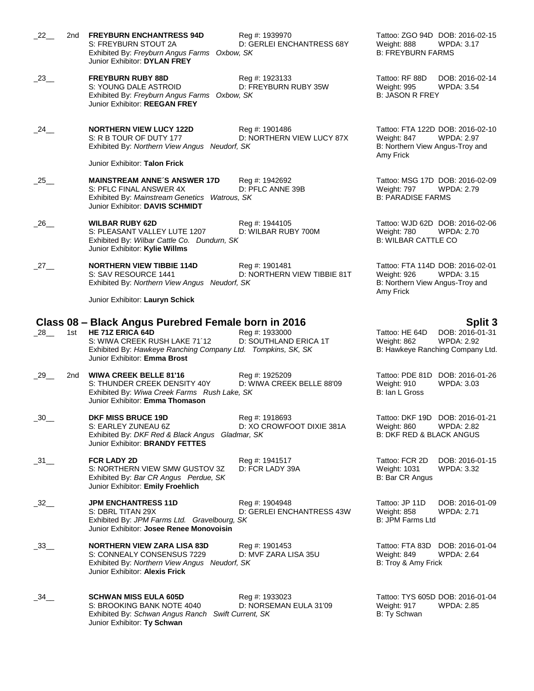| $_{.22}$ $_{\_}$    | 2nd | <b>FREYBURN ENCHANTRESS 94D</b><br>S: FREYBURN STOUT 2A<br>Exhibited By: Freyburn Angus Farms Oxbow, SK<br>Junior Exhibitor: DYLAN FREY                                                                  | Reg #: 1939970<br>D: GERLEI ENCHANTRESS 68Y   | Tattoo: ZGO 94D DOB: 2016-02-15<br>Weight: 888<br>WPDA: 3.17<br><b>B: FREYBURN FARMS</b>                             |
|---------------------|-----|----------------------------------------------------------------------------------------------------------------------------------------------------------------------------------------------------------|-----------------------------------------------|----------------------------------------------------------------------------------------------------------------------|
| $-23$ <sub>—</sub>  |     | <b>FREYBURN RUBY 88D</b><br>S: YOUNG DALE ASTROID<br>Exhibited By: Freyburn Angus Farms Oxbow, SK<br>Junior Exhibitor: REEGAN FREY                                                                       | Reg #: 1923133<br>D: FREYBURN RUBY 35W        | DOB: 2016-02-14<br>Tattoo: RF 88D<br>Weight: 995<br><b>WPDA: 3.54</b><br><b>B: JASON R FREY</b>                      |
| 24                  |     | <b>NORTHERN VIEW LUCY 122D</b><br>S: R B TOUR OF DUTY 177<br>Exhibited By: Northern View Angus Neudorf, SK                                                                                               | Reg #: 1901486<br>D: NORTHERN VIEW LUCY 87X   | Tattoo: FTA 122D DOB: 2016-02-10<br>Weight: 847<br><b>WPDA: 2.97</b><br>B: Northern View Angus-Troy and<br>Amy Frick |
|                     |     | Junior Exhibitor: Talon Frick                                                                                                                                                                            |                                               |                                                                                                                      |
| $\_$ 25 $\_$        |     | <b>MAINSTREAM ANNE'S ANSWER 17D</b><br>S: PFLC FINAL ANSWER 4X<br>Exhibited By: Mainstream Genetics Watrous, SK<br>Junior Exhibitor: DAVIS SCHMIDT                                                       | Reg #: 1942692<br>D: PFLC ANNE 39B            | Tattoo: MSG 17D DOB: 2016-02-09<br>Weight: 797<br>WPDA: 2.79<br><b>B: PARADISE FARMS</b>                             |
| $_{-26}$ __         |     | <b>WILBAR RUBY 62D</b><br>S: PLEASANT VALLEY LUTE 1207<br>Exhibited By: Wilbar Cattle Co. Dundurn, SK<br>Junior Exhibitor: Kylie Willms                                                                  | Reg #: 1944105<br>D: WILBAR RUBY 700M         | Tattoo: WJD 62D DOB: 2016-02-06<br>Weight: 780<br>WPDA: 2.70<br><b>B: WILBAR CATTLE CO</b>                           |
| $-27$ —             |     | <b>NORTHERN VIEW TIBBIE 114D</b><br>S: SAV RESOURCE 1441<br>Exhibited By: Northern View Angus Neudorf, SK                                                                                                | Reg #: 1901481<br>D: NORTHERN VIEW TIBBIE 81T | Tattoo: FTA 114D DOB: 2016-02-01<br><b>WPDA: 3.15</b><br>Weight: 926<br>B: Northern View Angus-Troy and<br>Amy Frick |
|                     |     | Junior Exhibitor: Lauryn Schick                                                                                                                                                                          |                                               |                                                                                                                      |
| $\_28$ <sub>—</sub> | 1st | Class 08 – Black Angus Purebred Female born in 2016<br>HE 71Z ERICA 64D<br>S: WIWA CREEK RUSH LAKE 71'12<br>Exhibited By: Hawkeye Ranching Company Ltd. Tompkins, SK, SK<br>Junior Exhibitor: Emma Brost | Reg #: 1933000<br>D: SOUTHLAND ERICA 1T       | Split 3<br>DOB: 2016-01-31<br>Tattoo: HE 64D<br>Weight: 862<br><b>WPDA: 2.92</b><br>B: Hawkeye Ranching Company Ltd. |
| $29$ <sub>—</sub>   | 2nd | <b>WIWA CREEK BELLE 81'16</b><br>S: THUNDER CREEK DENSITY 40Y<br>Exhibited By: Wiwa Creek Farms Rush Lake, SK<br>Junior Exhibitor: Emma Thomason                                                         | Reg #: 1925209<br>D: WIWA CREEK BELLE 88'09   | Tattoo: PDE 81D DOB: 2016-01-26<br>Weight: 910<br><b>WPDA: 3.03</b><br>B: Ian L Gross                                |
| $\_30$ ___          |     | <b>DKF MISS BRUCE 19D</b><br>S: EARLEY ZUNEAU 6Z<br>Exhibited By: DKF Red & Black Angus Gladmar, SK<br>Junior Exhibitor: BRANDY FETTES                                                                   | Reg #: 1918693<br>D: XO CROWFOOT DIXIE 381A   | Tattoo: DKF 19D DOB: 2016-01-21<br>Weight: 860<br><b>WPDA: 2.82</b><br>B: DKF RED & BLACK ANGUS                      |
| $-31$ <sub>—</sub>  |     | <b>FCR LADY 2D</b><br>S: NORTHERN VIEW SMW GUSTOV 3Z<br>Exhibited By: Bar CR Angus Perdue, SK<br>Junior Exhibitor: Emily Froehlich                                                                       | Reg #: 1941517<br>D: FCR LADY 39A             | Tattoo: FCR 2D<br>DOB: 2016-01-15<br><b>Weight: 1031</b><br><b>WPDA: 3.32</b><br>B: Bar CR Angus                     |
| $-32$ <sub>—</sub>  |     | <b>JPM ENCHANTRESS 11D</b><br>S: DBRL TITAN 29X<br>Exhibited By: JPM Farms Ltd. Gravelbourg, SK<br>Junior Exhibitor: Josee Renee Monovoisin                                                              | Reg #: 1904948<br>D: GERLEI ENCHANTRESS 43W   | Tattoo: JP 11D<br>DOB: 2016-01-09<br>Weight: 858<br><b>WPDA: 2.71</b><br>B: JPM Farms Ltd                            |
| $\_33$ __           |     | <b>NORTHERN VIEW ZARA LISA 83D</b><br>S: CONNEALY CONSENSUS 7229<br>Exhibited By: Northern View Angus Neudorf, SK<br>Junior Exhibitor: <b>Alexis Frick</b>                                               | Reg #: 1901453<br>D: MVF ZARA LISA 35U        | Tattoo: FTA 83D<br>DOB: 2016-01-04<br>Weight: 849<br><b>WPDA: 2.64</b><br>B: Troy & Amy Frick                        |
| $\_34$ __           |     | <b>SCHWAN MISS EULA 605D</b><br>S: BROOKING BANK NOTE 4040<br>Exhibited By: Schwan Angus Ranch Swift Current, SK<br>Junior Exhibitor: Ty Schwan                                                          | Reg #: 1933023<br>D: NORSEMAN EULA 31'09      | Tattoo: TYS 605D DOB: 2016-01-04<br>Weight: 917<br><b>WPDA: 2.85</b><br>B: Ty Schwan                                 |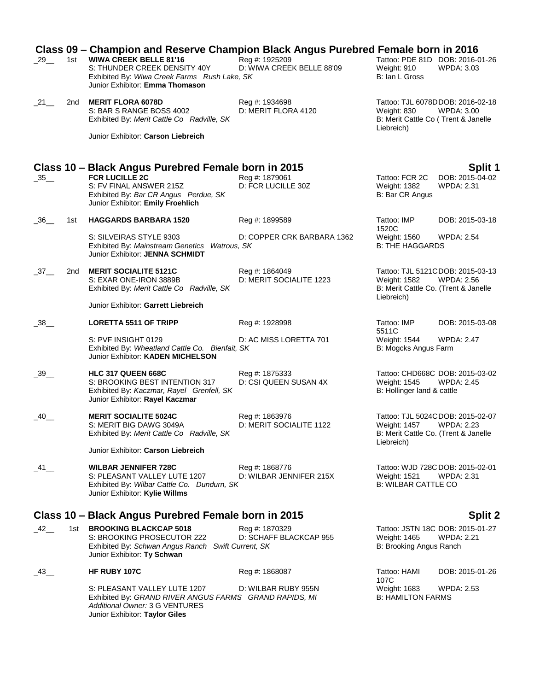| 29                   | 1st | Class 09 - Champion and Reserve Champion Black Angus Purebred Female born in 2016<br><b>WIWA CREEK BELLE 81'16</b><br>S: THUNDER CREEK DENSITY 40Y<br>Exhibited By: Wiwa Creek Farms Rush Lake, SK<br>Junior Exhibitor: Emma Thomason | Reg #: 1925209<br>D: WIWA CREEK BELLE 88'09 | Tattoo: PDE 81D DOB: 2016-01-26<br>Weight: 910<br>B: Ian L Gross                                       | <b>WPDA: 3.03</b>                                     |
|----------------------|-----|---------------------------------------------------------------------------------------------------------------------------------------------------------------------------------------------------------------------------------------|---------------------------------------------|--------------------------------------------------------------------------------------------------------|-------------------------------------------------------|
| $\_21$ <sub>—</sub>  | 2nd | <b>MERIT FLORA 6078D</b><br>S: BAR S RANGE BOSS 4002<br>Exhibited By: Merit Cattle Co Radville, SK                                                                                                                                    | Reg #: 1934698<br>D: MERIT FLORA 4120       | Tattoo: TJL 6078DDOB: 2016-02-18<br>Weight: 830<br>B: Merit Cattle Co (Trent & Janelle<br>Liebreich)   | WPDA: 3.00                                            |
|                      |     | Junior Exhibitor: Carson Liebreich                                                                                                                                                                                                    |                                             |                                                                                                        |                                                       |
|                      |     | Class 10 – Black Angus Purebred Female born in 2015                                                                                                                                                                                   |                                             |                                                                                                        | Split 1                                               |
| $\_35$ ___           |     | <b>FCR LUCILLE 2C</b><br>S: FV FINAL ANSWER 215Z<br>Exhibited By: Bar CR Angus Perdue, SK<br>Junior Exhibitor: Emily Froehlich                                                                                                        | Reg #: 1879061<br>D: FCR LUCILLE 30Z        | Tattoo: FCR 2C<br>Weight: 1382<br>B: Bar CR Angus                                                      | DOB: 2015-04-02<br><b>WPDA: 2.31</b>                  |
| 36                   | 1st | <b>HAGGARDS BARBARA 1520</b>                                                                                                                                                                                                          | Reg #: 1899589                              | Tattoo: IMP<br>1520C                                                                                   | DOB: 2015-03-18                                       |
|                      |     | S: SILVEIRAS STYLE 9303<br>Exhibited By: Mainstream Genetics Watrous, SK<br>Junior Exhibitor: JENNA SCHMIDT                                                                                                                           | D: COPPER CRK BARBARA 1362                  | Weight: 1560<br><b>B: THE HAGGARDS</b>                                                                 | <b>WPDA: 2.54</b>                                     |
| $\_37$ <sub>——</sub> | 2nd | <b>MERIT SOCIALITE 5121C</b><br>S: EXAR ONE-IRON 3889B<br>Exhibited By: Merit Cattle Co Radville, SK                                                                                                                                  | Reg #: 1864049<br>D: MERIT SOCIALITE 1223   | <b>Weight: 1582</b><br>B: Merit Cattle Co. (Trent & Janelle<br>Liebreich)                              | Tattoo: TJL 5121CDOB: 2015-03-13<br><b>WPDA: 2.56</b> |
|                      |     | Junior Exhibitor: Garrett Liebreich                                                                                                                                                                                                   |                                             |                                                                                                        |                                                       |
| 38                   |     | <b>LORETTA 5511 OF TRIPP</b>                                                                                                                                                                                                          | Reg #: 1928998                              | Tattoo: IMP<br>5511C                                                                                   | DOB: 2015-03-08                                       |
|                      |     | S: PVF INSIGHT 0129<br>Exhibited By: Wheatland Cattle Co. Bienfait, SK<br>Junior Exhibitor: KADEN MICHELSON                                                                                                                           | D: AC MISS LORETTA 701                      | Weight: 1544<br>B: Mogcks Angus Farm                                                                   | <b>WPDA: 2.47</b>                                     |
| 39                   |     | <b>HLC 317 QUEEN 668C</b><br>S: BROOKING BEST INTENTION 317<br>Exhibited By: Kaczmar, Rayel Grenfell, SK<br>Junior Exhibitor: Rayel Kaczmar                                                                                           | Reg #: 1875333<br>D: CSI QUEEN SUSAN 4X     | Weight: 1545<br>B: Hollinger land & cattle                                                             | Tattoo: CHD668C DOB: 2015-03-02<br><b>WPDA: 2.45</b>  |
| $-40$                |     | <b>MERIT SOCIALITE 5024C</b><br>S: MERIT BIG DAWG 3049A<br>Exhibited By: Merit Cattle Co Radville, SK                                                                                                                                 | Reg #: 1863976<br>D: MERIT SOCIALITE 1122   | Tattoo: TJL 5024CDOB: 2015-02-07<br>Weight: 1457<br>B: Merit Cattle Co. (Trent & Janelle<br>Liebreich) | <b>WPDA: 2.23</b>                                     |
|                      |     | Junior Exhibitor: Carson Liebreich                                                                                                                                                                                                    |                                             |                                                                                                        |                                                       |
| $-41$                |     | <b>WILBAR JENNIFER 728C</b><br>S: PLEASANT VALLEY LUTE 1207<br>Exhibited By: Wilbar Cattle Co. Dundurn, SK<br>Junior Exhibitor: Kylie Willms                                                                                          | Reg #: 1868776<br>D: WILBAR JENNIFER 215X   | Tattoo: WJD 728C DOB: 2015-02-01<br>Weight: 1521<br><b>B: WILBAR CATTLE CO</b>                         | WPDA: 2.31                                            |
|                      |     | Class 10 – Black Angus Purebred Female born in 2015                                                                                                                                                                                   |                                             |                                                                                                        | Split 2                                               |
| $-42$                | 1st | <b>BROOKING BLACKCAP 5018</b><br>S: BROOKING PROSECUTOR 222<br>Exhibited By: Schwan Angus Ranch Swift Current, SK<br>Junior Exhibitor: Ty Schwan                                                                                      | Reg #: 1870329<br>D: SCHAFF BLACKCAP 955    | Weight: 1465<br>B: Brooking Angus Ranch                                                                | Tattoo: JSTN 18C DOB: 2015-01-27<br><b>WPDA: 2.21</b> |
| 43                   |     | HF RUBY 107C                                                                                                                                                                                                                          | Reg #: 1868087                              | Tattoo: HAMI<br>107C                                                                                   | DOB: 2015-01-26                                       |
|                      |     | S: PLEASANT VALLEY LUTE 1207<br>Exhibited By: GRAND RIVER ANGUS FARMS GRAND RAPIDS, MI<br>Additional Owner: 3 G VENTURES<br>Junior Exhibitor: Taylor Giles                                                                            | D: WILBAR RUBY 955N                         | Weight: 1683<br><b>B: HAMILTON FARMS</b>                                                               | <b>WPDA: 2.53</b>                                     |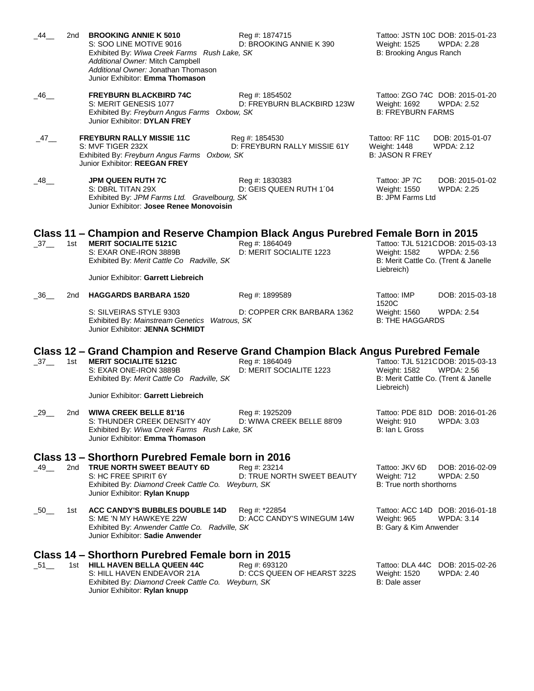| 44                 | 2nd | <b>BROOKING ANNIE K 5010</b><br>S: SOO LINE MOTIVE 9016<br>Exhibited By: Wiwa Creek Farms Rush Lake, SK<br>Additional Owner: Mitch Campbell<br>Additional Owner: Jonathan Thomason<br>Junior Exhibitor: Emma Thomason            | Reg #: 1874715<br>D: BROOKING ANNIE K 390      | Weight: 1525<br>B: Brooking Angus Ranch                                   | Tattoo: JSTN 10C DOB: 2015-01-23<br><b>WPDA: 2.28</b> |
|--------------------|-----|----------------------------------------------------------------------------------------------------------------------------------------------------------------------------------------------------------------------------------|------------------------------------------------|---------------------------------------------------------------------------|-------------------------------------------------------|
| _46__              |     | <b>FREYBURN BLACKBIRD 74C</b><br>S: MERIT GENESIS 1077<br>Exhibited By: Freyburn Angus Farms Oxbow, SK<br>Junior Exhibitor: DYLAN FREY                                                                                           | Reg #: 1854502<br>D: FREYBURN BLACKBIRD 123W   | Weight: 1692<br><b>B: FREYBURN FARMS</b>                                  | Tattoo: ZGO 74C DOB: 2015-01-20<br><b>WPDA: 2.52</b>  |
| $-47$              |     | <b>FREYBURN RALLY MISSIE 11C</b><br>S: MVF TIGER 232X<br>Exhibited By: Freyburn Angus Farms Oxbow, SK<br>Junior Exhibitor: REEGAN FREY                                                                                           | Reg #: 1854530<br>D: FREYBURN RALLY MISSIE 61Y | Tattoo: RF 11C<br><b>Weight: 1448</b><br><b>B: JASON R FREY</b>           | DOB: 2015-01-07<br><b>WPDA: 2.12</b>                  |
| _48__              |     | JPM QUEEN RUTH 7C<br>S: DBRL TITAN 29X<br>Exhibited By: JPM Farms Ltd. Gravelbourg, SK<br>Junior Exhibitor: Josee Renee Monovoisin                                                                                               | Reg #: 1830383<br>D: GEIS QUEEN RUTH 1'04      | Tattoo: JP 7C<br>Weight: 1550<br>B: JPM Farms Ltd                         | DOB: 2015-01-02<br><b>WPDA: 2.25</b>                  |
| $-37$ <sub>—</sub> | 1st | Class 11 – Champion and Reserve Champion Black Angus Purebred Female Born in 2015<br><b>MERIT SOCIALITE 5121C</b><br>S: EXAR ONE-IRON 3889B<br>Exhibited By: Merit Cattle Co Radville, SK<br>Junior Exhibitor: Garrett Liebreich | Reg #: 1864049<br>D: MERIT SOCIALITE 1223      | <b>Weight: 1582</b><br>B: Merit Cattle Co. (Trent & Janelle<br>Liebreich) | Tattoo: TJL 5121CDOB: 2015-03-13<br><b>WPDA: 2.56</b> |
| 36                 | 2nd | <b>HAGGARDS BARBARA 1520</b>                                                                                                                                                                                                     | Reg #: 1899589                                 | Tattoo: IMP                                                               | DOB: 2015-03-18                                       |
|                    |     | S: SILVEIRAS STYLE 9303<br>Exhibited By: Mainstream Genetics Watrous, SK<br>Junior Exhibitor: JENNA SCHMIDT                                                                                                                      | D: COPPER CRK BARBARA 1362                     | 1520C<br>Weight: 1560<br><b>B: THE HAGGARDS</b>                           | <b>WPDA: 2.54</b>                                     |
| $-37$ <sub>—</sub> | 1st | Class 12 – Grand Champion and Reserve Grand Champion Black Angus Purebred Female<br><b>MERIT SOCIALITE 5121C</b><br>S: EXAR ONE-IRON 3889B<br>Exhibited By: Merit Cattle Co Radville, SK                                         | Reg #: 1864049<br>D: MERIT SOCIALITE 1223      | <b>Weight: 1582</b><br>B: Merit Cattle Co. (Trent & Janelle<br>Liebreich) | Tattoo: TJL 5121CDOB: 2015-03-13<br><b>WPDA: 2.56</b> |
|                    |     | Junior Exhibitor: Garrett Liebreich                                                                                                                                                                                              |                                                |                                                                           |                                                       |
| 29                 | 2nd | <b>WIWA CREEK BELLE 81'16</b><br>S: THUNDER CREEK DENSITY 40Y<br>Exhibited By: Wiwa Creek Farms Rush Lake, SK<br>Junior Exhibitor: Emma Thomason                                                                                 | Reg #: 1925209<br>D: WIWA CREEK BELLE 88'09    | Weight: 910<br>B: Ian L Gross                                             | Tattoo: PDE 81D DOB: 2016-01-26<br><b>WPDA: 3.03</b>  |
|                    |     | Class 13 – Shorthorn Purebred Female born in 2016                                                                                                                                                                                |                                                |                                                                           |                                                       |
| $-49$ <sub>—</sub> | 2nd | TRUE NORTH SWEET BEAUTY 6D<br>S: HC FREE SPIRIT 6Y<br>Exhibited By: Diamond Creek Cattle Co. Weyburn, SK<br>Junior Exhibitor: Rylan Knupp                                                                                        | Reg #: 23214<br>D: TRUE NORTH SWEET BEAUTY     | Tattoo: JKV 6D<br>Weight: 712<br>B: True north shorthorns                 | DOB: 2016-02-09<br><b>WPDA: 2.50</b>                  |
| $\_50$ ___         | 1st | ACC CANDY'S BUBBLES DOUBLE 14D<br>S: ME 'N MY HAWKEYE 22W<br>Exhibited By: Anwender Cattle Co. Radville, SK<br>Junior Exhibitor: Sadie Anwender                                                                                  | Reg #: *22854<br>D: ACC CANDY'S WINEGUM 14W    | <b>Weight: 965</b><br>B: Gary & Kim Anwender                              | Tattoo: ACC 14D DOB: 2016-01-18<br><b>WPDA: 3.14</b>  |
|                    |     | Class 14 – Shorthorn Purebred Female born in 2015                                                                                                                                                                                |                                                |                                                                           |                                                       |
| $\_51$ $\_$        | 1st | <b>HILL HAVEN BELLA QUEEN 44C</b><br>S: HILL HAVEN ENDEAVOR 21A<br>Exhibited By: Diamond Creek Cattle Co. Weyburn, SK<br>Junior Exhibitor: Rylan knupp                                                                           | Reg #: 693120<br>D: CCS QUEEN OF HEARST 322S   | Tattoo: DLA 44C<br>Weight: 1520<br>B: Dale asser                          | DOB: 2015-02-26<br><b>WPDA: 2.40</b>                  |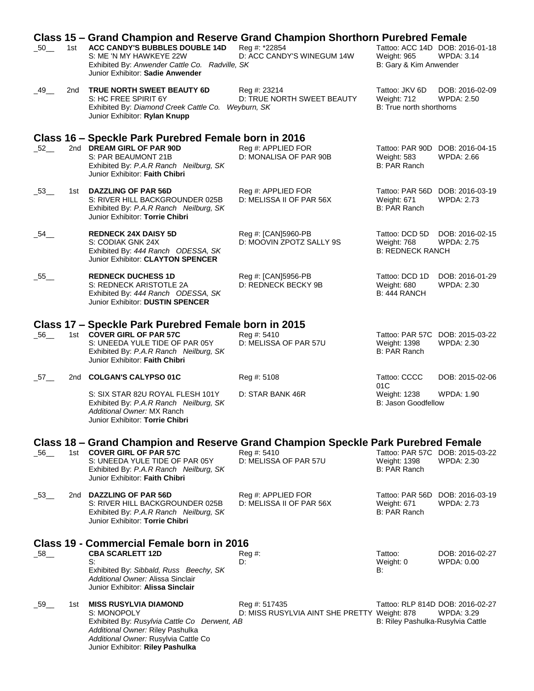|                     |     | Class 15 – Grand Champion and Reserve Grand Champion Shorthorn Purebred Female                                                                                                                              |                                                               |                                                                          |                                                       |
|---------------------|-----|-------------------------------------------------------------------------------------------------------------------------------------------------------------------------------------------------------------|---------------------------------------------------------------|--------------------------------------------------------------------------|-------------------------------------------------------|
| $-50$ <sub>—</sub>  | 1st | <b>ACC CANDY'S BUBBLES DOUBLE 14D</b><br>S: ME 'N MY HAWKEYE 22W<br>Exhibited By: Anwender Cattle Co. Radville, SK<br>Junior Exhibitor: Sadie Anwender                                                      | Reg #: *22854<br>D: ACC CANDY'S WINEGUM 14W                   | Tattoo: ACC 14D DOB: 2016-01-18<br>Weight: 965<br>B: Gary & Kim Anwender | <b>WPDA: 3.14</b>                                     |
| $-49$ <sub>—</sub>  | 2nd | TRUE NORTH SWEET BEAUTY 6D<br>S: HC FREE SPIRIT 6Y<br>Exhibited By: Diamond Creek Cattle Co.<br>Junior Exhibitor: Rylan Knupp                                                                               | Reg #: 23214<br>D: TRUE NORTH SWEET BEAUTY<br>Weyburn, SK     | Tattoo: JKV 6D<br>Weight: 712<br>B: True north shorthorns                | DOB: 2016-02-09<br><b>WPDA: 2.50</b>                  |
|                     |     | Class 16 - Speckle Park Purebred Female born in 2016                                                                                                                                                        |                                                               |                                                                          |                                                       |
| $-52$ <sub>—</sub>  |     | 2nd DREAM GIRL OF PAR 90D<br>S: PAR BEAUMONT 21B<br>Exhibited By: P.A.R Ranch Neilburg, SK<br>Junior Exhibitor: Faith Chibri                                                                                | Reg #: APPLIED FOR<br>D: MONALISA OF PAR 90B                  | Weight: 583<br>B: PAR Ranch                                              | Tattoo: PAR 90D DOB: 2016-04-15<br><b>WPDA: 2.66</b>  |
| $-53$ <sub>—</sub>  | 1st | <b>DAZZLING OF PAR 56D</b><br>S: RIVER HILL BACKGROUNDER 025B<br>Exhibited By: P.A.R Ranch Neilburg, SK<br>Junior Exhibitor: Torrie Chibri                                                                  | Reg #: APPLIED FOR<br>D: MELISSA II OF PAR 56X                | Tattoo: PAR 56D DOB: 2016-03-19<br>Weight: 671<br>B: PAR Ranch           | <b>WPDA: 2.73</b>                                     |
| $\_54$ ___          |     | <b>REDNECK 24X DAISY 5D</b><br>S: CODIAK GNK 24X<br>Exhibited By: 444 Ranch ODESSA, SK<br>Junior Exhibitor: CLAYTON SPENCER                                                                                 | Reg #: [CAN]5960-PB<br>D: MOOVIN ZPOTZ SALLY 9S               | Tattoo: DCD 5D<br>Weight: 768<br><b>B: REDNECK RANCH</b>                 | DOB: 2016-02-15<br><b>WPDA: 2.75</b>                  |
| 55                  |     | <b>REDNECK DUCHESS 1D</b><br>S: REDNECK ARISTOTLE 2A<br>Exhibited By: 444 Ranch ODESSA, SK<br>Junior Exhibitor: DUSTIN SPENCER                                                                              | Reg #: [CAN]5956-PB<br>D: REDNECK BECKY 9B                    | Tattoo: DCD 1D<br>Weight: 680<br>B: 444 RANCH                            | DOB: 2016-01-29<br><b>WPDA: 2.30</b>                  |
|                     |     | Class 17 – Speckle Park Purebred Female born in 2015                                                                                                                                                        |                                                               |                                                                          |                                                       |
| $\_56$ <sub>—</sub> |     | 1st COVER GIRL OF PAR 57C<br>S: UNEEDA YULE TIDE OF PAR 05Y<br>Exhibited By: P.A.R Ranch Neilburg, SK<br>Junior Exhibitor: Faith Chibri                                                                     | Reg #: 5410<br>D: MELISSA OF PAR 57U                          | <b>Weight: 1398</b><br>B: PAR Ranch                                      | Tattoo: PAR 57C DOB: 2015-03-22<br>WPDA: 2.30         |
| $-57$ <sub>—</sub>  | 2nd | <b>COLGAN'S CALYPSO 01C</b>                                                                                                                                                                                 | Reg #: 5108                                                   | Tattoo: CCCC                                                             | DOB: 2015-02-06                                       |
|                     |     | S: SIX STAR 82U ROYAL FLESH 101Y<br>Exhibited By: P.A.R Ranch Neilburg, SK<br>Additional Owner: MX Ranch<br>Junior Exhibitor: Torrie Chibri                                                                 | D: STAR BANK 46R                                              | 01C<br><b>Weight: 1238</b><br><b>B: Jason Goodfellow</b>                 | <b>WPDA: 1.90</b>                                     |
|                     |     | Class 18 – Grand Champion and Reserve Grand Champion Speckle Park Purebred Female                                                                                                                           |                                                               |                                                                          |                                                       |
| $\_56$ <sub>—</sub> | 1st | <b>COVER GIRL OF PAR 57C</b><br>S: UNEEDA YULE TIDE OF PAR 05Y<br>Exhibited By: P.A.R Ranch Neilburg, SK<br>Junior Exhibitor: Faith Chibri                                                                  | Reg #: 5410<br>D: MELISSA OF PAR 57U                          | <b>Weight: 1398</b><br>B: PAR Ranch                                      | Tattoo: PAR 57C DOB: 2015-03-22<br><b>WPDA: 2.30</b>  |
| -53__               |     | 2nd DAZZLING OF PAR 56D<br>S: RIVER HILL BACKGROUNDER 025B<br>Exhibited By: P.A.R Ranch Neilburg, SK<br>Junior Exhibitor: Torrie Chibri                                                                     | Reg #: APPLIED FOR<br>D: MELISSA II OF PAR 56X                | Tattoo: PAR 56D DOB: 2016-03-19<br>Weight: 671<br>B: PAR Ranch           | <b>WPDA: 2.73</b>                                     |
|                     |     | Class 19 - Commercial Female born in 2016                                                                                                                                                                   |                                                               |                                                                          |                                                       |
| $-58$ <sub>—</sub>  |     | <b>CBA SCARLETT 12D</b>                                                                                                                                                                                     | Reg #:                                                        | Tattoo:                                                                  | DOB: 2016-02-27                                       |
|                     |     | S:<br>Exhibited By: Sibbald, Russ Beechy, SK<br>Additional Owner: Alissa Sinclair<br>Junior Exhibitor: Alissa Sinclair                                                                                      | D:                                                            | Weight: 0<br>B:                                                          | WPDA: 0.00                                            |
| _59__               | 1st | <b>MISS RUSYLVIA DIAMOND</b><br>S: MONOPOLY<br>Exhibited By: Rusylvia Cattle Co Derwent, AB<br>Additional Owner: Riley Pashulka<br>Additional Owner: Rusylvia Cattle Co<br>Junior Exhibitor: Riley Pashulka | Reg #: 517435<br>D: MISS RUSYLVIA AINT SHE PRETTY Weight: 878 | B: Riley Pashulka-Rusylvia Cattle                                        | Tattoo: RLP 814D DOB: 2016-02-27<br><b>WPDA: 3.29</b> |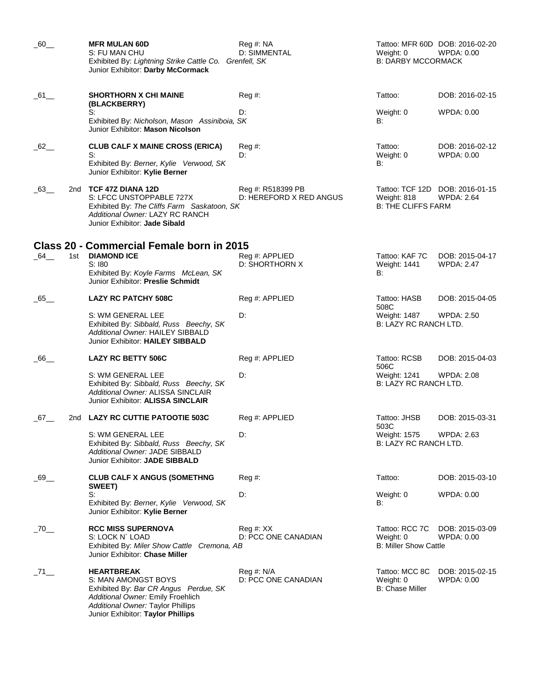| 60                  |     | <b>MFR MULAN 60D</b><br>S: FU MAN CHU<br>Exhibited By: Lightning Strike Cattle Co. Grenfell, SK<br>Junior Exhibitor: Darby McCormack                                                             | Reg #: NA<br>D: SIMMENTAL                    | Weight: 0<br><b>B: DARBY MCCORMACK</b>                      | Tattoo: MFR 60D DOB: 2016-02-20<br>WPDA: 0.00        |
|---------------------|-----|--------------------------------------------------------------------------------------------------------------------------------------------------------------------------------------------------|----------------------------------------------|-------------------------------------------------------------|------------------------------------------------------|
| $-61$               |     | <b>SHORTHORN X CHI MAINE</b><br>(BLACKBERRY)                                                                                                                                                     | Reg#                                         | Tattoo:                                                     | DOB: 2016-02-15                                      |
|                     |     | S:<br>Exhibited By: Nicholson, Mason Assiniboia, SK<br>Junior Exhibitor: Mason Nicolson                                                                                                          | D:                                           | Weight: 0<br>B:                                             | WPDA: 0.00                                           |
| $-62$               |     | <b>CLUB CALF X MAINE CROSS (ERICA)</b><br>S:<br>Exhibited By: Berner, Kylie Verwood, SK<br>Junior Exhibitor: Kylie Berner                                                                        | Reg #:<br>D:                                 | Tattoo:<br>Weight: 0<br>B:                                  | DOB: 2016-02-12<br>WPDA: 0.00                        |
| _63__               | 2nd | <b>TCF 47Z DIANA 12D</b><br>S: LFCC UNSTOPPABLE 727X<br>Exhibited By: The Cliffs Farm Saskatoon, SK<br>Additional Owner: LAZY RC RANCH<br>Junior Exhibitor: Jade Sibald                          | Reg #: R518399 PB<br>D: HEREFORD X RED ANGUS | Weight: 818<br><b>B: THE CLIFFS FARM</b>                    | Tattoo: TCF 12D DOB: 2016-01-15<br><b>WPDA: 2.64</b> |
|                     |     | Class 20 - Commercial Female born in 2015                                                                                                                                                        |                                              |                                                             |                                                      |
| $\_64$ <sub>—</sub> | 1st | <b>DIAMOND ICE</b><br>S:180<br>Exhibited By: Koyle Farms McLean, SK<br>Junior Exhibitor: Preslie Schmidt                                                                                         | Reg #: APPLIED<br>D: SHORTHORN X             | Tattoo: KAF 7C<br>Weight: 1441<br>B:                        | DOB: 2015-04-17<br><b>WPDA: 2.47</b>                 |
| 65                  |     | <b>LAZY RC PATCHY 508C</b>                                                                                                                                                                       | Reg #: APPLIED                               | Tattoo: HASB<br>508C                                        | DOB: 2015-04-05                                      |
|                     |     | S: WM GENERAL LEE<br>Exhibited By: Sibbald, Russ Beechy, SK<br>Additional Owner: HAILEY SIBBALD<br>Junior Exhibitor: HAILEY SIBBALD                                                              | D:                                           | Weight: 1487<br>B: LAZY RC RANCH LTD.                       | WPDA: 2.50                                           |
| $\_66$ __           |     | <b>LAZY RC BETTY 506C</b>                                                                                                                                                                        | Reg #: APPLIED                               | Tattoo: RCSB<br>506C                                        | DOB: 2015-04-03                                      |
|                     |     | S: WM GENERAL LEE<br>Exhibited By: Sibbald, Russ Beechy, SK<br>Additional Owner: ALISSA SINCLAIR<br>Junior Exhibitor: ALISSA SINCLAIR                                                            | D:                                           | Weight: 1241<br>B: LAZY RC RANCH LTD.                       | <b>WPDA: 2.08</b>                                    |
| $-67$ <sub>—</sub>  | 2nd | <b>LAZY RC CUTTIE PATOOTIE 503C</b>                                                                                                                                                              | Req #: APPLIED                               | Tattoo: JHSB<br>503C                                        | DOB: 2015-03-31                                      |
|                     |     | S: WM GENERAL LEE<br>Exhibited By: Sibbald, Russ Beechy, SK<br>Additional Owner: JADE SIBBALD<br>Junior Exhibitor: JADE SIBBALD                                                                  | D:                                           | <b>Weight: 1575</b><br>B: LAZY RC RANCH LTD.                | <b>WPDA: 2.63</b>                                    |
| $\_69\_$            |     | <b>CLUB CALF X ANGUS (SOMETHNG</b><br>SWEET)                                                                                                                                                     | Reg#                                         | Tattoo:                                                     | DOB: 2015-03-10                                      |
|                     |     | S:<br>Exhibited By: Berner, Kylie Verwood, SK<br>Junior Exhibitor: Kylie Berner                                                                                                                  | D:                                           | Weight: 0<br>B:                                             | WPDA: 0.00                                           |
| $-70$               |     | <b>RCC MISS SUPERNOVA</b><br>S: LOCK N' LOAD<br>Exhibited By: Miler Show Cattle Cremona, AB<br>Junior Exhibitor: Chase Miller                                                                    | Reg #: XX<br>D: PCC ONE CANADIAN             | Tattoo: RCC 7C<br>Weight: 0<br><b>B: Miller Show Cattle</b> | DOB: 2015-03-09<br>WPDA: 0.00                        |
| $\_71$ $\_$         |     | <b>HEARTBREAK</b><br>S: MAN AMONGST BOYS<br>Exhibited By: Bar CR Angus Perdue, SK<br>Additional Owner: Emily Froehlich<br>Additional Owner: Taylor Phillips<br>Junior Exhibitor: Taylor Phillips | Reg #: N/A<br>D: PCC ONE CANADIAN            | Tattoo: MCC 8C<br>Weight: 0<br><b>B: Chase Miller</b>       | DOB: 2015-02-15<br>WPDA: 0.00                        |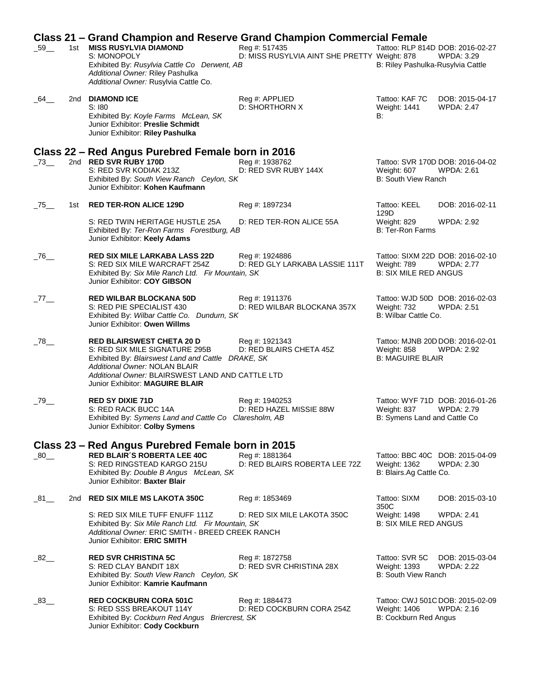|           |     | Class 21 - Grand Champion and Reserve Grand Champion Commercial Female                                                                                                                                                                           |                                                               |                                                              |                                                       |
|-----------|-----|--------------------------------------------------------------------------------------------------------------------------------------------------------------------------------------------------------------------------------------------------|---------------------------------------------------------------|--------------------------------------------------------------|-------------------------------------------------------|
| $\_59$ __ |     | 1st MISS RUSYLVIA DIAMOND<br>S: MONOPOLY<br>Exhibited By: Rusylvia Cattle Co Derwent, AB<br>Additional Owner: Riley Pashulka                                                                                                                     | Reg #: 517435<br>D: MISS RUSYLVIA AINT SHE PRETTY Weight: 878 | B: Riley Pashulka-Rusylvia Cattle                            | Tattoo: RLP 814D DOB: 2016-02-27<br><b>WPDA: 3.29</b> |
| $\_64$ __ |     | Additional Owner: Rusylvia Cattle Co.<br>2nd DIAMOND ICE<br>S:180<br>Exhibited By: Koyle Farms McLean, SK<br>Junior Exhibitor: Preslie Schmidt<br>Junior Exhibitor: Riley Pashulka                                                               | Reg #: APPLIED<br>D: SHORTHORN X                              | Tattoo: KAF 7C<br>Weight: 1441<br>B:                         | DOB: 2015-04-17<br><b>WPDA: 2.47</b>                  |
|           |     |                                                                                                                                                                                                                                                  |                                                               |                                                              |                                                       |
| 273       |     | Class 22 – Red Angus Purebred Female born in 2016<br>2nd RED SVR RUBY 170D<br>S: RED SVR KODIAK 213Z<br>Exhibited By: South View Ranch Ceylon, SK<br>Junior Exhibitor: Kohen Kaufmann                                                            | Reg #: 1938762<br>D: RED SVR RUBY 144X                        | Weight: 607<br>B: South View Ranch                           | Tattoo: SVR 170D DOB: 2016-04-02<br><b>WPDA: 2.61</b> |
| $-75$     | 1st | <b>RED TER-RON ALICE 129D</b>                                                                                                                                                                                                                    | Reg #: 1897234                                                | Tattoo: KEEL<br>129D                                         | DOB: 2016-02-11                                       |
|           |     | S: RED TWIN HERITAGE HUSTLE 25A<br>Exhibited By: Ter-Ron Farms Forestburg, AB<br>Junior Exhibitor: Keely Adams                                                                                                                                   | D: RED TER-RON ALICE 55A                                      | Weight: 829<br><b>B: Ter-Ron Farms</b>                       | <b>WPDA: 2.92</b>                                     |
| $\_76$ __ |     | <b>RED SIX MILE LARKABA LASS 22D</b><br>S: RED SIX MILE WARCRAFT 254Z<br>Exhibited By: Six Mile Ranch Ltd. Fir Mountain, SK<br>Junior Exhibitor: COY GIBSON                                                                                      | Reg #: 1924886<br>D: RED GLY LARKABA LASSIE 111T              | Weight: 789<br><b>B: SIX MILE RED ANGUS</b>                  | Tattoo: SIXM 22D DOB: 2016-02-10<br><b>WPDA: 2.77</b> |
| _77__     |     | <b>RED WILBAR BLOCKANA 50D</b><br>S: RED PIE SPECIALIST 430<br>Exhibited By: Wilbar Cattle Co. Dundurn, SK<br>Junior Exhibitor: Owen Willms                                                                                                      | Reg #: 1911376<br>D: RED WILBAR BLOCKANA 357X                 | Weight: 732<br>B: Wilbar Cattle Co.                          | Tattoo: WJD 50D DOB: 2016-02-03<br><b>WPDA: 2.51</b>  |
| $\_78$ __ |     | <b>RED BLAIRSWEST CHETA 20 D</b><br>S: RED SIX MILE SIGNATURE 295B<br>Exhibited By: Blairswest Land and Cattle DRAKE, SK<br>Additional Owner: NOLAN BLAIR<br>Additional Owner: BLAIRSWEST LAND AND CATTLE LTD<br>Junior Exhibitor: MAGUIRE BLAIR | Reg #: 1921343<br>D: RED BLAIRS CHETA 45Z                     | <b>Weight: 858</b><br><b>B: MAGUIRE BLAIR</b>                | Tattoo: MJNB 20D DOB: 2016-02-01<br><b>WPDA: 2.92</b> |
| $\_79$ __ |     | <b>RED SY DIXIE 71D</b><br>S: RED RACK BUCC 14A<br>Exhibited By: Symens Land and Cattle Co Claresholm, AB<br>Junior Exhibitor: Colby Symens                                                                                                      | Reg #: 1940253<br>D: RED HAZEL MISSIE 88W                     | Weight: 837<br>B: Symens Land and Cattle Co                  | Tattoo: WYF 71D DOB: 2016-01-26<br><b>WPDA: 2.79</b>  |
|           |     | Class 23 – Red Angus Purebred Female born in 2015                                                                                                                                                                                                |                                                               |                                                              |                                                       |
| $-80$     |     | <b>RED BLAIR'S ROBERTA LEE 40C</b><br>S: RED RINGSTEAD KARGO 215U<br>Exhibited By: Double B Angus McLean, SK<br>Junior Exhibitor: Baxter Blair                                                                                                   | Reg #: 1881364<br>D: RED BLAIRS ROBERTA LEE 72Z               | <b>Weight: 1362</b><br>B: Blairs.Ag Cattle Co.               | Tattoo: BBC 40C DOB: 2015-04-09<br>WPDA: 2.30         |
| 81        | 2nd | <b>RED SIX MILE MS LAKOTA 350C</b>                                                                                                                                                                                                               | Reg #: 1853469                                                | Tattoo: SIXM<br>350C                                         | DOB: 2015-03-10                                       |
|           |     | S: RED SIX MILE TUFF ENUFF 111Z<br>Exhibited By: Six Mile Ranch Ltd. Fir Mountain, SK<br>Additional Owner: ERIC SMITH - BREED CREEK RANCH<br>Junior Exhibitor: ERIC SMITH                                                                        | D: RED SIX MILE LAKOTA 350C                                   | Weight: 1498<br><b>B: SIX MILE RED ANGUS</b>                 | <b>WPDA: 2.41</b>                                     |
| -82       |     | <b>RED SVR CHRISTINA 5C</b><br>S: RED CLAY BANDIT 18X<br>Exhibited By: South View Ranch Ceylon, SK<br>Junior Exhibitor: Kamrie Kaufmann                                                                                                          | Reg #: 1872758<br>D: RED SVR CHRISTINA 28X                    | Tattoo: SVR 5C<br>Weight: 1393<br><b>B: South View Ranch</b> | DOB: 2015-03-04<br><b>WPDA: 2.22</b>                  |
| _83__     |     | <b>RED COCKBURN CORA 501C</b><br>S: RED SSS BREAKOUT 114Y<br>Exhibited By: Cockburn Red Angus Briercrest, SK<br>Junior Exhibitor: Cody Cockburn                                                                                                  | Reg #: 1884473<br>D: RED COCKBURN CORA 254Z                   | Weight: 1406<br>B: Cockburn Red Angus                        | Tattoo: CWJ 501C DOB: 2015-02-09<br><b>WPDA: 2.16</b> |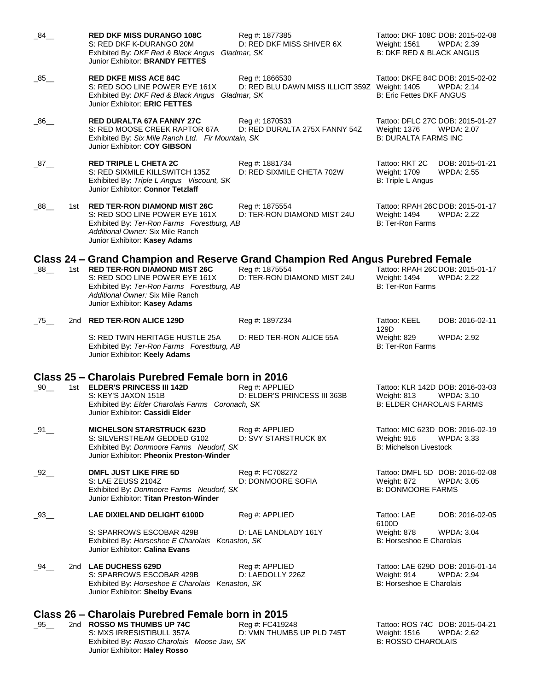| $\_84$ <sub>—</sub> |       | RED DKF MISS DURANGO 108C<br>S: RED DKF K-DURANGO 20M<br>Exhibited By: DKF Red & Black Angus<br>Junior Exhibitor: BRANDY FETTES                                                          | Reg #: 1877385<br>D: RED DKF MISS SHIVER 6X<br>Gladmar, SK       | Weight: 1561<br><b>B: DKF RED &amp; BLACK ANGUS</b>                              | Tattoo: DKF 108C DOB: 2015-02-08<br>WPDA: 2.39        |
|---------------------|-------|------------------------------------------------------------------------------------------------------------------------------------------------------------------------------------------|------------------------------------------------------------------|----------------------------------------------------------------------------------|-------------------------------------------------------|
| $\_85$ <sub>—</sub> |       | <b>RED DKFE MISS ACE 84C</b><br>S: RED SOO LINE POWER EYE 161X<br>Exhibited By: DKF Red & Black Angus Gladmar, SK<br>Junior Exhibitor: ERIC FETTES                                       | Reg #: 1866530<br>D: RED BLU DAWN MISS ILLICIT 359Z Weight: 1405 | <b>B: Eric Fettes DKF ANGUS</b>                                                  | Tattoo: DKFE 84C DOB: 2015-02-02<br><b>WPDA: 2.14</b> |
| $-86$               |       | <b>RED DURALTA 67A FANNY 27C</b><br>S: RED MOOSE CREEK RAPTOR 67A<br>Exhibited By: Six Mile Ranch Ltd. Fir Mountain, SK<br>Junior Exhibitor: COY GIBSON                                  | Reg #: 1870533<br>D: RED DURALTA 275X FANNY 54Z                  | Weight: 1376<br><b>B: DURALTA FARMS INC</b>                                      | Tattoo: DFLC 27C DOB: 2015-01-27<br>WPDA: 2.07        |
| $-87$ <sub>—</sub>  |       | <b>RED TRIPLE L CHETA 2C</b><br>S: RED SIXMILE KILLSWITCH 135Z<br>Exhibited By: Triple L Angus Viscount, SK<br>Junior Exhibitor: Connor Tetzlaff                                         | Reg #: 1881734<br>D: RED SIXMILE CHETA 702W                      | Tattoo: RKT 2C<br><b>Weight: 1709</b><br>B: Triple L Angus                       | DOB: 2015-01-21<br><b>WPDA: 2.55</b>                  |
| $\_88$ <sub>—</sub> | 1st l | <b>RED TER-RON DIAMOND MIST 26C</b><br>S: RED SOO LINE POWER EYE 161X<br>Exhibited By: Ter-Ron Farms Forestburg, AB<br>Additional Owner: Six Mile Ranch<br>Junior Exhibitor: Kasey Adams | Reg #: 1875554<br>D: TER-RON DIAMOND MIST 24U                    | Weight: 1494<br><b>B: Ter-Ron Farms</b>                                          | Tattoo: RPAH 26CDOB: 2015-01-17<br><b>WPDA: 2.22</b>  |
|                     |       | Class 24 – Grand Champion and Reserve Grand Champion Red Angus Purebred Female                                                                                                           |                                                                  |                                                                                  |                                                       |
| $-88$               |       | 1st RED TER-RON DIAMOND MIST 26C<br>S: RED SOO LINE POWER EYE 161X<br>Exhibited By: Ter-Ron Farms Forestburg, AB<br>Additional Owner: Six Mile Ranch<br>Junior Exhibitor: Kasey Adams    | Reg #: 1875554<br>D: TER-RON DIAMOND MIST 24U                    | Weight: 1494<br><b>B: Ter-Ron Farms</b>                                          | Tattoo: RPAH 26CDOB: 2015-01-17<br><b>WPDA: 2.22</b>  |
| $-75$               | 2nd   | <b>RED TER-RON ALICE 129D</b>                                                                                                                                                            | Reg #: 1897234                                                   | Tattoo: KEEL                                                                     | DOB: 2016-02-11                                       |
|                     |       | S: RED TWIN HERITAGE HUSTLE 25A<br>Exhibited By: Ter-Ron Farms Forestburg, AB<br>Junior Exhibitor: Keely Adams                                                                           | D: RED TER-RON ALICE 55A                                         | 129D<br>Weight: 829<br><b>B: Ter-Ron Farms</b>                                   | <b>WPDA: 2.92</b>                                     |
|                     |       | Class 25 – Charolais Purebred Female born in 2016                                                                                                                                        |                                                                  |                                                                                  |                                                       |
| $-90$ <sub>—</sub>  |       | 1st <b>ELDER'S PRINCESS III 142D</b><br>S: KEY'S JAXON 151B<br>Exhibited By: Elder Charolais Farms Coronach, SK<br>Junior Exhibitor: Cassidi Elder                                       | Reg #: APPLIED<br>D: ELDER'S PRINCESS III 363B                   | Weight: 813<br><b>B: ELDER CHAROLAIS FARMS</b>                                   | Tattoo: KLR 142D DOB: 2016-03-03<br>WPDA: 3.10        |
| 91                  |       | <b>MICHELSON STARSTRUCK 623D</b><br>S: SILVERSTREAM GEDDED G102<br>Exhibited By: Donmoore Farms Neudorf, SK<br>Junior Exhibitor: Pheonix Preston-Winder                                  | Reg #: APPLIED<br>D: SVY STARSTRUCK 8X                           | Tattoo: MIC 623D DOB: 2016-02-19<br>Weight: 916<br><b>B: Michelson Livestock</b> | <b>WPDA: 3.33</b>                                     |
| 92                  |       | DMFL JUST LIKE FIRE 5D<br>S: LAE ZEUSS 2104Z<br>Exhibited By: Donmoore Farms Neudorf, SK<br>Junior Exhibitor: Titan Preston-Winder                                                       | Reg #: FC708272<br>D: DONMOORE SOFIA                             | Weight: 872<br><b>B: DONMOORE FARMS</b>                                          | Tattoo: DMFL 5D DOB: 2016-02-08<br><b>WPDA: 3.05</b>  |
| $-93$ <sub>—</sub>  |       | LAE DIXIELAND DELIGHT 6100D                                                                                                                                                              | Reg #: APPLIED                                                   | Tattoo: LAE                                                                      | DOB: 2016-02-05                                       |
|                     |       | S: SPARROWS ESCOBAR 429B<br>Exhibited By: Horseshoe E Charolais Kenaston, SK<br>Junior Exhibitor: Calina Evans                                                                           | D: LAE LANDLADY 161Y                                             | 6100D<br>Weight: 878<br>B: Horseshoe E Charolais                                 | <b>WPDA: 3.04</b>                                     |
| _94__               |       | 2nd LAE DUCHESS 629D<br>S: SPARROWS ESCOBAR 429B<br>Exhibited By: Horseshoe E Charolais Kenaston, SK<br>Junior Exhibitor: Shelby Evans                                                   | Reg #: APPLIED<br>D: LAEDOLLY 226Z                               | Weight: 914<br>B: Horseshoe E Charolais                                          | Tattoo: LAE 629D DOB: 2016-01-14<br><b>WPDA: 2.94</b> |
|                     |       | Class 26 – Charolais Purebred Female born in 2015                                                                                                                                        |                                                                  |                                                                                  |                                                       |
| $-95$ <sub>—</sub>  |       | 2nd ROSSO MS THUMBS UP 74C<br>S: MXS IRRESISTIBULL 357A                                                                                                                                  | Reg #: FC419248<br>D: VMN THUMBS UP PLD 745T                     | Tattoo: ROS 74C DOB: 2015-04-21<br><b>Weight: 1516</b>                           | <b>WPDA: 2.62</b>                                     |

Exhibited By: *Rosso Charolais Moose Jaw, SK* B: **ROSSO CHAROLAIS** B: ROSSO CHAROLAIS

Junior Exhibitor: **Haley Rosso**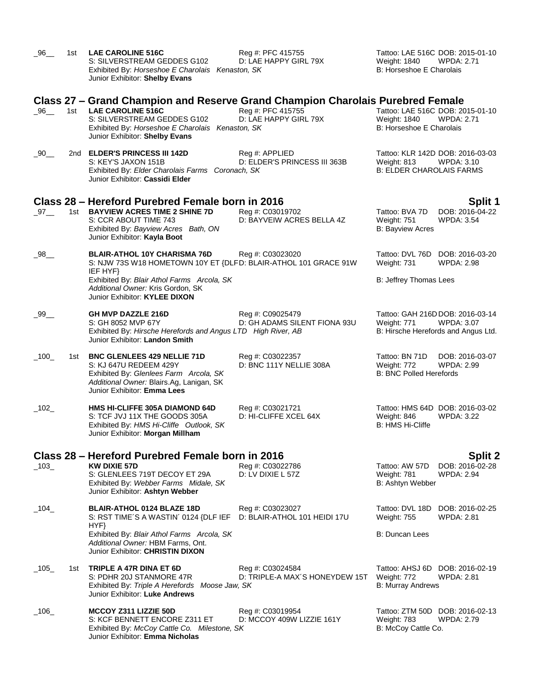| $\_96$ __     | 1st | <b>LAE CAROLINE 516C</b><br>S: SILVERSTREAM GEDDES G102<br>Exhibited By: Horseshoe E Charolais Kenaston, SK<br>Junior Exhibitor: Shelby Evans                                     | Reg #: PFC 415755<br>D: LAE HAPPY GIRL 79X         | Tattoo: LAE 516C DOB: 2015-01-10<br><b>WPDA: 2.71</b><br>Weight: 1840<br>B: Horseshoe E Charolais           |
|---------------|-----|-----------------------------------------------------------------------------------------------------------------------------------------------------------------------------------|----------------------------------------------------|-------------------------------------------------------------------------------------------------------------|
|               |     | Class 27 – Grand Champion and Reserve Grand Champion Charolais Purebred Female                                                                                                    |                                                    |                                                                                                             |
| $\_96\_$      | 1st | <b>LAE CAROLINE 516C</b><br>S: SILVERSTREAM GEDDES G102<br>Exhibited By: Horseshoe E Charolais Kenaston, SK<br>Junior Exhibitor: Shelby Evans                                     | Reg #: PFC 415755<br>D: LAE HAPPY GIRL 79X         | Tattoo: LAE 516C DOB: 2015-01-10<br>Weight: 1840<br><b>WPDA: 2.71</b><br>B: Horseshoe E Charolais           |
| $\_90$ ___    |     | 2nd ELDER'S PRINCESS III 142D<br>S: KEY'S JAXON 151B<br>Exhibited By: Elder Charolais Farms Coronach, SK<br>Junior Exhibitor: Cassidi Elder                                       | Reg #: APPLIED<br>D: ELDER'S PRINCESS III 363B     | Tattoo: KLR 142D DOB: 2016-03-03<br><b>WPDA: 3.10</b><br>Weight: 813<br><b>B: ELDER CHAROLAIS FARMS</b>     |
|               |     | Class 28 – Hereford Purebred Female born in 2016                                                                                                                                  |                                                    | Split 1                                                                                                     |
| $\_97$ ___    |     | 1st BAYVIEW ACRES TIME 2 SHINE 7D<br>S: CCR ABOUT TIME 743<br>Exhibited By: Bayview Acres Bath, ON<br>Junior Exhibitor: Kayla Boot                                                | Reg #: C03019702<br>D: BAYVEIW ACRES BELLA 4Z      | DOB: 2016-04-22<br>Tattoo: BVA 7D<br>Weight: 751<br><b>WPDA: 3.54</b><br><b>B: Bayview Acres</b>            |
| $\_98$ __     |     | <b>BLAIR-ATHOL 10Y CHARISMA 76D</b><br>S: NJW 73S W18 HOMETOWN 10Y ET {DLFD: BLAIR-ATHOL 101 GRACE 91W<br>IEF HYF}                                                                | Reg #: C03023020                                   | Tattoo: DVL 76D<br>DOB: 2016-03-20<br>Weight: 731<br><b>WPDA: 2.98</b>                                      |
|               |     | Exhibited By: Blair Athol Farms Arcola, SK<br>Additional Owner: Kris Gordon, SK<br>Junior Exhibitor: KYLEE DIXON                                                                  |                                                    | B: Jeffrey Thomas Lees                                                                                      |
| $\_99\_$      |     | <b>GH MVP DAZZLE 216D</b><br>S: GH 8052 MVP 67Y<br>Exhibited By: Hirsche Herefords and Angus LTD High River, AB<br>Junior Exhibitor: Landon Smith                                 | Reg #: C09025479<br>D: GH ADAMS SILENT FIONA 93U   | Tattoo: GAH 216D DOB: 2016-03-14<br>Weight: 771<br><b>WPDA: 3.07</b><br>B: Hirsche Herefords and Angus Ltd. |
| $\_100\_$     | 1st | <b>BNC GLENLEES 429 NELLIE 71D</b><br>S: KJ 647U REDEEM 429Y<br>Exhibited By: Glenlees Farm Arcola, SK<br>Additional Owner: Blairs.Ag, Lanigan, SK<br>Junior Exhibitor: Emma Lees | Reg #: C03022357<br>D: BNC 111Y NELLIE 308A        | Tattoo: BN 71D<br>DOB: 2016-03-07<br>Weight: 772<br>WPDA: 2.99<br><b>B: BNC Polled Herefords</b>            |
| $\_102\_$     |     | <b>HMS HI-CLIFFE 305A DIAMOND 64D</b><br>S: TCF JVJ 11X THE GOODS 305A<br>Exhibited By: HMS Hi-Cliffe Outlook, SK<br>Junior Exhibitor: Morgan Millham                             | Reg #: C03021721<br>D: HI-CLIFFE XCEL 64X          | Tattoo: HMS 64D DOB: 2016-03-02<br>Weight: 846<br><b>WPDA: 3.22</b><br>B: HMS Hi-Cliffe                     |
|               |     | Class 28 – Hereford Purebred Female born in 2016                                                                                                                                  |                                                    |                                                                                                             |
| $\_103\_$     |     | <b>KW DIXIE 57D</b><br>S: GLENLEES 719T DECOY ET 29A<br>Exhibited By: Webber Farms Midale, SK<br>Junior Exhibitor: Ashtyn Webber                                                  | Reg #: C03022786<br>$D: LV$ DIXIE L 57Z            | Split 2<br>DOB: 2016-02-28<br>Tattoo: AW 57D<br>Weight: 781<br><b>WPDA: 2.94</b><br>B: Ashtyn Webber        |
| $\_$ 104 $\_$ |     | <b>BLAIR-ATHOL 0124 BLAZE 18D</b><br>S: RST TIME'S A WASTIN' 0124 {DLF IEF<br>HYP                                                                                                 | Reg #: C03023027<br>D: BLAIR-ATHOL 101 HEIDI 17U   | Tattoo: DVL 18D<br>DOB: 2016-02-25<br><b>Weight: 755</b><br><b>WPDA: 2.81</b>                               |
|               |     | Exhibited By: Blair Athol Farms Arcola, SK<br>Additional Owner: HBM Farms, Ont.<br>Junior Exhibitor: CHRISTIN DIXON                                                               |                                                    | B: Duncan Lees                                                                                              |
| $\_105\_$     | 1st | TRIPLE A 47R DINA ET 6D<br>S: PDHR 20J STANMORE 47R<br>Exhibited By: Triple A Herefords Moose Jaw, SK<br>Junior Exhibitor: Luke Andrews                                           | Reg #: C03024584<br>D: TRIPLE-A MAX'S HONEYDEW 15T | Tattoo: AHSJ 6D<br>DOB: 2016-02-19<br>Weight: 772<br><b>WPDA: 2.81</b><br><b>B: Murray Andrews</b>          |
| $\_106\_$     |     | MCCOY Z311 LIZZIE 50D<br>S: KCF BENNETT ENCORE Z311 ET<br>Exhibited By: McCoy Cattle Co. Milestone, SK<br>Junior Exhibitor: Emma Nicholas                                         | Reg #: C03019954<br>D: MCCOY 409W LIZZIE 161Y      | Tattoo: ZTM 50D DOB: 2016-02-13<br>Weight: 783<br><b>WPDA: 2.79</b><br>B: McCoy Cattle Co.                  |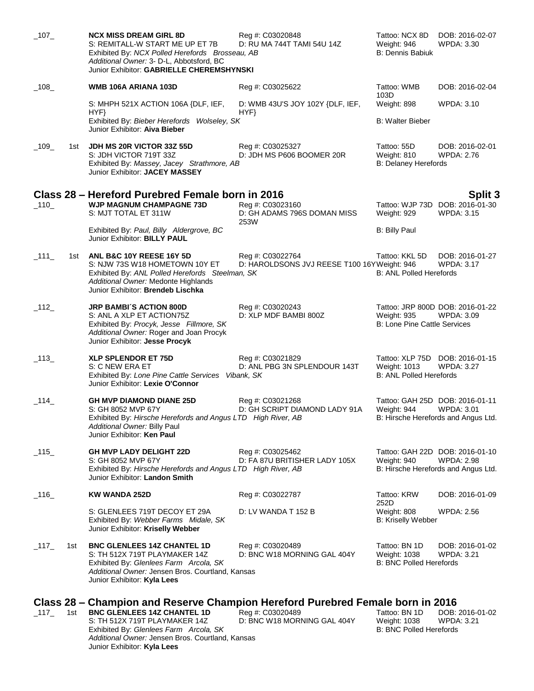| $\_107\_$ |     | <b>NCX MISS DREAM GIRL 8D</b><br>S: REMITALL-W START ME UP ET 7B<br>Exhibited By: NCX Polled Herefords Brosseau, AB<br>Additional Owner: 3- D-L, Abbotsford, BC<br>Junior Exhibitor: GABRIELLE CHEREMSHYNSKI                                        | Reg #: C03020848<br>D: RU MA 744T TAMI 54U 14Z                  | Tattoo: NCX 8D<br>Weight: 946<br><b>B: Dennis Babiuk</b>        | DOB: 2016-02-07<br>WPDA: 3.30                                                               |
|-----------|-----|-----------------------------------------------------------------------------------------------------------------------------------------------------------------------------------------------------------------------------------------------------|-----------------------------------------------------------------|-----------------------------------------------------------------|---------------------------------------------------------------------------------------------|
| $\_108$   |     | WMB 106A ARIANA 103D                                                                                                                                                                                                                                | Reg #: C03025622                                                | Tattoo: WMB<br>103D                                             | DOB: 2016-02-04                                                                             |
|           |     | S: MHPH 521X ACTION 106A {DLF, IEF,<br>HYP                                                                                                                                                                                                          | D: WMB 43U'S JOY 102Y {DLF, IEF,<br>HYP                         | Weight: 898                                                     | <b>WPDA: 3.10</b>                                                                           |
|           |     | Exhibited By: Bieber Herefords Wolseley, SK<br>Junior Exhibitor: Aiva Bieber                                                                                                                                                                        |                                                                 | <b>B: Walter Bieber</b>                                         |                                                                                             |
| $-109$    | 1st | JDH MS 20R VICTOR 33Z 55D<br>S: JDH VICTOR 719T 33Z<br>Exhibited By: Massey, Jacey Strathmore, AB<br>Junior Exhibitor: JACEY MASSEY                                                                                                                 | Reg #: C03025327<br>D: JDH MS P606 BOOMER 20R                   | Tattoo: 55D<br>Weight: 810<br><b>B: Delaney Herefords</b>       | DOB: 2016-02-01<br><b>WPDA: 2.76</b>                                                        |
|           |     | Class 28 – Hereford Purebred Female born in 2016                                                                                                                                                                                                    |                                                                 |                                                                 |                                                                                             |
| $\_110$   |     | <b>WJP MAGNUM CHAMPAGNE 73D</b><br>S: MJT TOTAL ET 311W                                                                                                                                                                                             | Reg #: C03023160<br>D: GH ADAMS 796S DOMAN MISS<br>253W         | Weight: 929                                                     | Split 3<br>Tattoo: WJP 73D DOB: 2016-01-30<br><b>WPDA: 3.15</b>                             |
|           |     | Exhibited By: Paul, Billy Aldergrove, BC<br>Junior Exhibitor: BILLY PAUL                                                                                                                                                                            |                                                                 | <b>B: Billy Paul</b>                                            |                                                                                             |
| $\_111$   | 1st | ANL B&C 10Y REESE 16Y 5D<br>S: NJW 73S W18 HOMETOWN 10Y ET<br>Exhibited By: ANL Polled Herefords Steelman, SK<br>Additional Owner: Medonte Highlands<br>Junior Exhibitor: Brendeb Lischka                                                           | Reg #: C03022764<br>D: HAROLDSONS JVJ REESE T100 16YWeight: 946 | Tattoo: KKL 5D<br><b>B: ANL Polled Herefords</b>                | DOB: 2016-01-27<br><b>WPDA: 3.17</b>                                                        |
| $\_112$   |     | <b>JRP BAMBI'S ACTION 800D</b><br>S: ANL A XLP ET ACTION75Z<br>Exhibited By: Procyk, Jesse Fillmore, SK<br>Additional Owner: Roger and Joan Procyk<br>Junior Exhibitor: Jesse Procyk                                                                | Reg #: C03020243<br>D: XLP MDF BAMBI 800Z                       | Weight: 935<br><b>B: Lone Pine Cattle Services</b>              | Tattoo: JRP 800D DOB: 2016-01-22<br>WPDA: 3.09                                              |
| $\_113$   |     | <b>XLP SPLENDOR ET 75D</b><br>S: C NEW ERA ET<br>Exhibited By: Lone Pine Cattle Services Vibank, SK<br>Junior Exhibitor: Lexie O'Connor                                                                                                             | Reg #: C03021829<br>D: ANL PBG 3N SPLENDOUR 143T                | <b>Weight: 1013</b><br><b>B: ANL Polled Herefords</b>           | Tattoo: XLP 75D DOB: 2016-01-15<br><b>WPDA: 3.27</b>                                        |
| $-114$    |     | <b>GH MVP DIAMOND DIANE 25D</b><br>S: GH 8052 MVP 67Y<br>Exhibited By: Hirsche Herefords and Angus LTD High River, AB<br>Additional Owner: Billy Paul<br>Junior Exhibitor: Ken Paul                                                                 | Reg #: C03021268<br>D: GH SCRIPT DIAMOND LADY 91A               | Weight: 944                                                     | Tattoo: GAH 25D DOB: 2016-01-11<br><b>WPDA: 3.01</b><br>B: Hirsche Herefords and Angus Ltd. |
| $\_115$   |     | <b>GH MVP LADY DELIGHT 22D</b><br>S: GH 8052 MVP 67Y<br>Exhibited By: Hirsche Herefords and Angus LTD High River, AB<br>Junior Exhibitor: Landon Smith                                                                                              | Reg #: C03025462<br>D: FA 87U BRITISHER LADY 105X               | Weight: 940                                                     | Tattoo: GAH 22D DOB: 2016-01-10<br><b>WPDA: 2.98</b><br>B: Hirsche Herefords and Angus Ltd. |
| $\_116\_$ |     | <b>KW WANDA 252D</b>                                                                                                                                                                                                                                | Reg #: C03022787                                                | Tattoo: KRW                                                     | DOB: 2016-01-09                                                                             |
|           |     | S: GLENLEES 719T DECOY ET 29A<br>Exhibited By: Webber Farms Midale, SK<br>Junior Exhibitor: Kriselly Webber                                                                                                                                         | D: LV WANDA T 152 B                                             | 252D<br>Weight: 808<br><b>B: Kriselly Webber</b>                | <b>WPDA: 2.56</b>                                                                           |
| $-117$    | 1st | <b>BNC GLENLEES 14Z CHANTEL 1D</b><br>S: TH 512X 719T PLAYMAKER 14Z<br>Exhibited By: Glenlees Farm Arcola, SK<br>Additional Owner: Jensen Bros. Courtland, Kansas<br>Junior Exhibitor: Kyla Lees                                                    | Reg #: C03020489<br>D: BNC W18 MORNING GAL 404Y                 | Tattoo: BN 1D<br>Weight: 1038<br><b>B: BNC Polled Herefords</b> | DOB: 2016-01-02<br><b>WPDA: 3.21</b>                                                        |
| $\_117$   | 1st | Class 28 – Champion and Reserve Champion Hereford Purebred Female born in 2016<br><b>BNC GLENLEES 14Z CHANTEL 1D</b><br>S: TH 512X 719T PLAYMAKER 14Z<br>Exhibited By: Glenlees Farm Arcola, SK<br>Additional Owner: Jensen Bros. Courtland, Kansas | Reg #: C03020489<br>D: BNC W18 MORNING GAL 404Y                 | Tattoo: BN 1D<br>Weight: 1038<br><b>B: BNC Polled Herefords</b> | DOB: 2016-01-02<br><b>WPDA: 3.21</b>                                                        |

Junior Exhibitor: **Kyla Lees**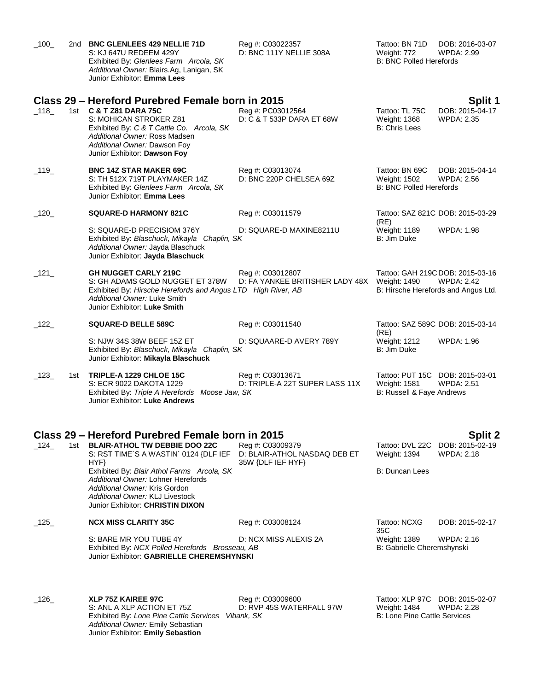| $\_100$       |     | 2nd BNC GLENLEES 429 NELLIE 71D<br>S: KJ 647U REDEEM 429Y<br>Exhibited By: Glenlees Farm Arcola, SK<br>Additional Owner: Blairs.Ag, Lanigan, SK<br>Junior Exhibitor: Emma Lees                                                                                                                                                        | Reg #: C03022357<br>D: BNC 111Y NELLIE 308A                           | Tattoo: BN 71D<br>Weight: 772<br><b>B: BNC Polled Herefords</b>  | DOB: 2016-03-07<br><b>WPDA: 2.99</b>                                                         |
|---------------|-----|---------------------------------------------------------------------------------------------------------------------------------------------------------------------------------------------------------------------------------------------------------------------------------------------------------------------------------------|-----------------------------------------------------------------------|------------------------------------------------------------------|----------------------------------------------------------------------------------------------|
| $-118$        |     | Class 29 – Hereford Purebred Female born in 2015<br>1st <b>C &amp; T Z81 DARA 75C</b><br>S: MOHICAN STROKER Z81<br>Exhibited By: C & T Cattle Co. Arcola, SK<br>Additional Owner: Ross Madsen<br>Additional Owner: Dawson Foy<br>Junior Exhibitor: Dawson Foy                                                                         | Reg #: PC03012564<br>D: C & T 533P DARA ET 68W                        | Tattoo: TL 75C<br><b>Weight: 1368</b><br><b>B: Chris Lees</b>    | Split 1<br>DOB: 2015-04-17<br><b>WPDA: 2.35</b>                                              |
| $\_$ 119 $\_$ |     | <b>BNC 14Z STAR MAKER 69C</b><br>S: TH 512X 719T PLAYMAKER 14Z<br>Exhibited By: Glenlees Farm Arcola, SK<br>Junior Exhibitor: Emma Lees                                                                                                                                                                                               | Reg #: C03013074<br>D: BNC 220P CHELSEA 69Z                           | Tattoo: BN 69C<br>Weight: 1502<br><b>B: BNC Polled Herefords</b> | DOB: 2015-04-14<br><b>WPDA: 2.56</b>                                                         |
| $\_120$       |     | <b>SQUARE-D HARMONY 821C</b>                                                                                                                                                                                                                                                                                                          | Reg #: C03011579                                                      | (RE)                                                             | Tattoo: SAZ 821C DOB: 2015-03-29                                                             |
|               |     | S: SQUARE-D PRECISIOM 376Y<br>Exhibited By: Blaschuck, Mikayla Chaplin, SK<br>Additional Owner: Jayda Blaschuck<br>Junior Exhibitor: Jayda Blaschuck                                                                                                                                                                                  | D: SQUARE-D MAXINE8211U                                               | Weight: 1189<br>B: Jim Duke                                      | WPDA: 1.98                                                                                   |
| $\_$ 121 $\_$ |     | <b>GH NUGGET CARLY 219C</b><br>S: GH ADAMS GOLD NUGGET ET 378W<br>Exhibited By: Hirsche Herefords and Angus LTD High River, AB<br>Additional Owner: Luke Smith<br>Junior Exhibitor: Luke Smith                                                                                                                                        | Reg #: C03012807<br>D: FA YANKEE BRITISHER LADY 48X                   | Weight: 1490                                                     | Tattoo: GAH 219C DOB: 2015-03-16<br><b>WPDA: 2.42</b><br>B: Hirsche Herefords and Angus Ltd. |
| $-122$        |     | SQUARE-D BELLE 589C                                                                                                                                                                                                                                                                                                                   | Reg #: C03011540                                                      |                                                                  | Tattoo: SAZ 589C DOB: 2015-03-14                                                             |
|               |     | S: NJW 34S 38W BEEF 15Z ET<br>Exhibited By: Blaschuck, Mikayla Chaplin, SK<br>Junior Exhibitor: Mikayla Blaschuck                                                                                                                                                                                                                     | D: SQUAARE-D AVERY 789Y                                               | (RE)<br>Weight: 1212<br>B: Jim Duke                              | WPDA: 1.96                                                                                   |
| $-123$        | 1st | TRIPLE-A 1229 CHLOE 15C<br>S: ECR 9022 DAKOTA 1229<br>Exhibited By: Triple A Herefords Moose Jaw, SK<br>Junior Exhibitor: Luke Andrews                                                                                                                                                                                                | Reg #: C03013671<br>D: TRIPLE-A 22T SUPER LASS 11X                    | <b>Weight: 1581</b><br>B: Russell & Faye Andrews                 | Tattoo: PUT 15C DOB: 2015-03-01<br><b>WPDA: 2.51</b>                                         |
| $\_124$       | 1st | Class 29 – Hereford Purebred Female born in 2015<br><b>BLAIR-ATHOL TW DEBBIE DOO 22C</b><br>S: RST TIME'S A WASTIN' 0124 {DLF IEF<br>HYF}<br>Exhibited By: Blair Athol Farms Arcola, SK<br>Additional Owner: Lohner Herefords<br>Additional Owner: Kris Gordon<br>Additional Owner: KLJ Livestock<br>Junior Exhibitor: CHRISTIN DIXON | Reg #: C03009379<br>D: BLAIR-ATHOL NASDAQ DEB ET<br>35W {DLF IEF HYF} | Tattoo: DVL 22C<br>Weight: 1394<br><b>B: Duncan Lees</b>         | <b>Split 2</b><br>DOB: 2015-02-19<br><b>WPDA: 2.18</b>                                       |
| $\_125$       |     | <b>NCX MISS CLARITY 35C</b>                                                                                                                                                                                                                                                                                                           | Reg #: C03008124                                                      | Tattoo: NCXG<br>35C                                              | DOB: 2015-02-17                                                                              |
|               |     | S: BARE MR YOU TUBE 4Y<br>Exhibited By: NCX Polled Herefords Brosseau, AB<br>Junior Exhibitor: GABRIELLE CHEREMSHYNSKI                                                                                                                                                                                                                | D: NCX MISS ALEXIS 2A                                                 | Weight: 1389<br>B: Gabrielle Cheremshynski                       | WPDA: 2.16                                                                                   |
| $\_126\_$     |     | XLP 75Z KAIREE 97C<br>S: ANL A XLP ACTION ET 75Z<br>Exhibited By: Lone Pine Cattle Services<br>Additional Owner: Emily Sebastian<br>Junior Exhibitor: Emily Sebastion                                                                                                                                                                 | Reg #: C03009600<br>D: RVP 45S WATERFALL 97W<br>Vibank, SK            | <b>Weight: 1484</b><br><b>B: Lone Pine Cattle Services</b>       | Tattoo: XLP 97C DOB: 2015-02-07<br><b>WPDA: 2.28</b>                                         |
|               |     |                                                                                                                                                                                                                                                                                                                                       |                                                                       |                                                                  |                                                                                              |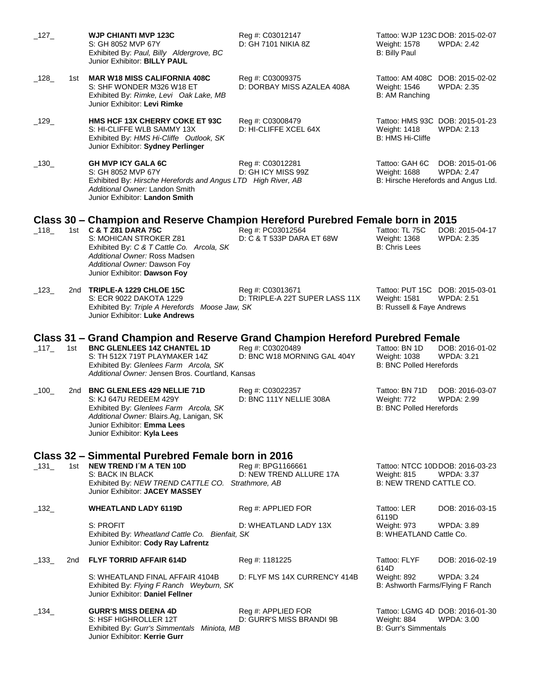| $\_127\_$ |       | <b>WJP CHIANTI MVP 123C</b><br>S: GH 8052 MVP 67Y<br>Exhibited By: Paul, Billy Aldergrove, BC<br>Junior Exhibitor: BILLY PAUL                                                                                                                                                    | Reg #: C03012147<br>D: GH 7101 NIKIA 8Z            | Tattoo: WJP 123C DOB: 2015-02-07<br><b>Weight: 1578</b><br><b>WPDA: 2.42</b><br><b>B: Billy Paul</b>          |
|-----------|-------|----------------------------------------------------------------------------------------------------------------------------------------------------------------------------------------------------------------------------------------------------------------------------------|----------------------------------------------------|---------------------------------------------------------------------------------------------------------------|
| $\_128$   | 1st l | <b>MAR W18 MISS CALIFORNIA 408C</b><br>S: SHF WONDER M326 W18 ET<br>Exhibited By: Rimke, Levi Oak Lake, MB<br>Junior Exhibitor: Levi Rimke                                                                                                                                       | Reg #: C03009375<br>D: DORBAY MISS AZALEA 408A     | Tattoo: AM 408C DOB: 2015-02-02<br>Weight: 1546<br><b>WPDA: 2.35</b><br>B: AM Ranching                        |
| $-129$    |       | HMS HCF 13X CHERRY COKE ET 93C<br>S: HI-CLIFFE WLB SAMMY 13X<br>Exhibited By: HMS Hi-Cliffe Outlook, SK<br>Junior Exhibitor: Sydney Perlinger                                                                                                                                    | Reg #: C03008479<br>D: HI-CLIFFE XCEL 64X          | Tattoo: HMS 93C DOB: 2015-01-23<br><b>WPDA: 2.13</b><br><b>Weight: 1418</b><br>B: HMS Hi-Cliffe               |
| $-130$    |       | <b>GH MVP ICY GALA 6C</b><br>S: GH 8052 MVP 67Y<br>Exhibited By: Hirsche Herefords and Angus LTD High River, AB<br>Additional Owner: Landon Smith<br>Junior Exhibitor: Landon Smith                                                                                              | Reg #: C03012281<br>D: GH ICY MISS 99Z             | DOB: 2015-01-06<br>Tattoo: GAH 6C<br><b>WPDA: 2.47</b><br>Weight: 1688<br>B: Hirsche Herefords and Angus Ltd. |
| $\_118$   |       | Class 30 – Champion and Reserve Champion Hereford Purebred Female born in 2015<br>1st C & T Z81 DARA 75C<br>S: MOHICAN STROKER Z81<br>Exhibited By: C & T Cattle Co. Arcola, SK<br>Additional Owner: Ross Madsen<br>Additional Owner: Dawson Foy<br>Junior Exhibitor: Dawson Foy | Reg #: PC03012564<br>D: C & T 533P DARA ET 68W     | Tattoo: TL 75C<br>DOB: 2015-04-17<br>Weight: 1368<br><b>WPDA: 2.35</b><br>B: Chris Lees                       |
| $\_123$   |       | 2nd TRIPLE-A 1229 CHLOE 15C<br>S: ECR 9022 DAKOTA 1229<br>Exhibited By: Triple A Herefords Moose Jaw, SK<br>Junior Exhibitor: Luke Andrews                                                                                                                                       | Reg #: C03013671<br>D: TRIPLE-A 22T SUPER LASS 11X | Tattoo: PUT 15C DOB: 2015-03-01<br><b>WPDA: 2.51</b><br><b>Weight: 1581</b><br>B: Russell & Faye Andrews      |
| $\_117$   | 1st   | Class 31 – Grand Champion and Reserve Grand Champion Hereford Purebred Female<br><b>BNC GLENLEES 14Z CHANTEL 1D</b><br>S: TH 512X 719T PLAYMAKER 14Z<br>Exhibited By: Glenlees Farm Arcola, SK<br>Additional Owner: Jensen Bros. Courtland, Kansas                               | Reg #: C03020489<br>D: BNC W18 MORNING GAL 404Y    | Tattoo: BN 1D<br>DOB: 2016-01-02<br>Weight: 1038<br><b>WPDA: 3.21</b><br><b>B: BNC Polled Herefords</b>       |
| $-100$    |       | 2nd BNC GLENLEES 429 NELLIE 71D<br>S: KJ 647U REDEEM 429Y<br>Exhibited By: Glenlees Farm Arcola, SK<br>Additional Owner: Blairs.Ag, Lanigan, SK<br>Junior Exhibitor: Emma Lees<br>Junior Exhibitor: Kyla Lees                                                                    | Reg #: C03022357<br>D: BNC 111Y NELLIE 308A        | Tattoo: BN 71D<br>DOB: 2016-03-07<br>Weight: 772<br><b>WPDA: 2.99</b><br><b>B: BNC Polled Herefords</b>       |
|           |       | Class 32 – Simmental Purebred Female born in 2016                                                                                                                                                                                                                                |                                                    |                                                                                                               |
| $\_131$   | 1st   | NEW TREND I'M A TEN 10D<br>S: BACK IN BLACK<br>Exhibited By: NEW TREND CATTLE CO. Strathmore, AB<br>Junior Exhibitor: <b>JACEY MASSEY</b>                                                                                                                                        | Reg #: BPG1166661<br>D: NEW TREND ALLURE 17A       | Tattoo: NTCC 10DDOB: 2016-03-23<br><b>WPDA: 3.37</b><br>Weight: 815<br>B: NEW TREND CATTLE CO.                |
| $-132$    |       | <b>WHEATLAND LADY 6119D</b>                                                                                                                                                                                                                                                      | Reg #: APPLIED FOR                                 | Tattoo: LER<br>DOB: 2016-03-15<br>6119D                                                                       |
|           |       | S: PROFIT<br>Exhibited By: Wheatland Cattle Co. Bienfait, SK<br>Junior Exhibitor: Cody Ray Lafrentz                                                                                                                                                                              | D: WHEATLAND LADY 13X                              | Weight: 973<br>WPDA: 3.89<br>B: WHEATLAND Cattle Co.                                                          |
| $\_133$   | 2nd   | <b>FLYF TORRID AFFAIR 614D</b>                                                                                                                                                                                                                                                   | Reg #: 1181225                                     | Tattoo: FLYF<br>DOB: 2016-02-19<br>614D                                                                       |
|           |       | S: WHEATLAND FINAL AFFAIR 4104B<br>Exhibited By: Flying F Ranch Weyburn, SK<br>Junior Exhibitor: Daniel Fellner                                                                                                                                                                  | D: FLYF MS 14X CURRENCY 414B                       | Weight: 892<br><b>WPDA: 3.24</b><br>B: Ashworth Farms/Flying F Ranch                                          |
| $\_134$   |       | <b>GURR'S MISS DEENA 4D</b><br>S: HSF HIGHROLLER 12T<br>Exhibited By: Gurr's Simmentals Miniota, MB<br>Junior Exhibitor: Kerrie Gurr                                                                                                                                             | Reg #: APPLIED FOR<br>D: GURR'S MISS BRANDI 9B     | Tattoo: LGMG 4D DOB: 2016-01-30<br>Weight: 884<br><b>WPDA: 3.00</b><br><b>B: Gurr's Simmentals</b>            |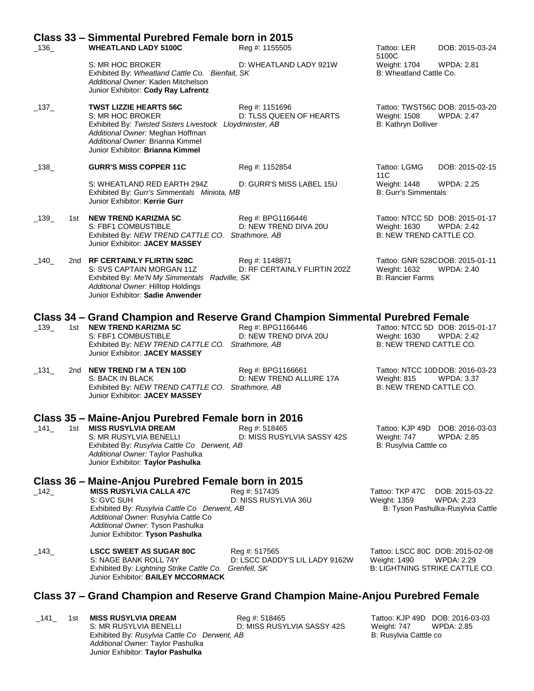|                      | Class 33 – Simmental Purebred Female born in 2015                                                                                                                                                                         |                                                 |                                                                                    |                                                                           |
|----------------------|---------------------------------------------------------------------------------------------------------------------------------------------------------------------------------------------------------------------------|-------------------------------------------------|------------------------------------------------------------------------------------|---------------------------------------------------------------------------|
| $-136$               | <b>WHEATLAND LADY 5100C</b>                                                                                                                                                                                               | Reg #: 1155505                                  | Tattoo: LER<br>5100C                                                               | DOB: 2015-03-24                                                           |
|                      | S: MR HOC BROKER<br>Exhibited By: Wheatland Cattle Co. Bienfait, SK<br>Additional Owner: Kaden Mitchelson<br>Junior Exhibitor: Cody Ray Lafrentz                                                                          | D: WHEATLAND LADY 921W                          | Weight: 1704<br>B: Wheatland Cattle Co.                                            | <b>WPDA: 2.81</b>                                                         |
| $\_137\_$            | <b>TWST LIZZIE HEARTS 56C</b><br>S: MR HOC BROKER<br>Exhibited By: Twisted Sisters Livestock Lloydminster, AB<br>Additional Owner: Meghan Hoffman<br>Additional Owner: Brianna Kimmel<br>Junior Exhibitor: Brianna Kimmel | Reg #: 1151696<br>D: TLSS QUEEN OF HEARTS       | <b>Weight: 1508</b><br>B: Kathryn Dolliver                                         | Tattoo: TWST56C DOB: 2015-03-20<br><b>WPDA: 2.47</b>                      |
| $-138$               | <b>GURR'S MISS COPPER 11C</b>                                                                                                                                                                                             | Reg #: 1152854                                  | Tattoo: LGMG<br>11C                                                                | DOB: 2015-02-15                                                           |
|                      | S: WHEATLAND RED EARTH 294Z<br>Exhibited By: Gurr's Simmentals Miniota, MB<br>Junior Exhibitor: Kerrie Gurr                                                                                                               | D: GURR'S MISS LABEL 15U                        | Weight: 1448<br><b>B: Gurr's Simmentals</b>                                        | <b>WPDA: 2.25</b>                                                         |
| $\_139$<br>1st       | <b>NEW TREND KARIZMA 5C</b><br>S: FBF1 COMBUSTIBLE<br>Exhibited By: NEW TREND CATTLE CO. Strathmore, AB<br>Junior Exhibitor: JACEY MASSEY                                                                                 | Reg #: BPG1166446<br>D: NEW TREND DIVA 20U      | Weight: 1630<br><b>B: NEW TREND CATTLE CO.</b>                                     | Tattoo: NTCC 5D DOB: 2015-01-17<br><b>WPDA: 2.42</b>                      |
| $-140$               | 2nd RF CERTAINLY FLIRTIN 528C<br>S: SVS CAPTAIN MORGAN 11Z<br>Exhibited By: Me'N My Simmentals Radville, SK<br>Additional Owner: Hilltop Holdings<br>Junior Exhibitor: Sadie Anwender                                     | Reg #: 1148871<br>D: RF CERTAINLY FLIRTIN 202Z  | Weight: 1632<br><b>B: Rancier Farms</b>                                            | Tattoo: GNR 528CDOB: 2015-01-11<br>WPDA: 2.40                             |
|                      | Class 34 – Grand Champion and Reserve Grand Champion Simmental Purebred Female                                                                                                                                            |                                                 |                                                                                    |                                                                           |
| $\_139$              | 1st NEW TREND KARIZMA 5C<br>S: FBF1 COMBUSTIBLE<br>Exhibited By: NEW TREND CATTLE CO. Strathmore, AB<br>Junior Exhibitor: JACEY MASSEY                                                                                    | Reg #: BPG1166446<br>D: NEW TREND DIVA 20U      | Weight: 1630<br>B: NEW TREND CATTLE CO.                                            | Tattoo: NTCC 5D DOB: 2015-01-17<br><b>WPDA: 2.42</b>                      |
| $\_131$              | 2nd NEW TREND I'M A TEN 10D<br>S: BACK IN BLACK<br>Exhibited By: NEW TREND CATTLE CO. Strathmore, AB<br>Junior Exhibitor: JACEY MASSEY                                                                                    | Reg #: BPG1166661<br>D: NEW TREND ALLURE 17A    | Weight: 815<br>B: NEW TREND CATTLE CO.                                             | Tattoo: NTCC 10DDOB: 2016-03-23<br><b>WPDA: 3.37</b>                      |
|                      | Class 35 - Maine-Anjou Purebred Female born in 2016                                                                                                                                                                       |                                                 |                                                                                    |                                                                           |
| $\_$ 141 $\_$<br>1st | <b>MISS RUSYLVIA DREAM</b><br>S: MR RUSYLVIA BENELLI<br>Exhibited By: Rusylvia Cattle Co Derwent, AB<br>Additional Owner: Taylor Pashulka<br>Junior Exhibitor: Taylor Pashulka                                            | Reg #: 518465<br>D: MISS RUSYLVIA SASSY 42S     | Tattoo: KJP 49D<br>Weight: 747<br>B: Rusylvia Catttle co                           | DOB: 2016-03-03<br><b>WPDA: 2.85</b>                                      |
|                      | Class 36 – Maine-Anjou Purebred Female born in 2015                                                                                                                                                                       |                                                 |                                                                                    |                                                                           |
| $-142$               | <b>MISS RUSYLVIA CALLA 47C</b><br>S: GVC SUH<br>Exhibited By: Rusylvia Cattle Co Derwent, AB<br>Additional Owner: Rusylvia Cattle Co<br>Additional Owner: Tyson Pashulka<br>Junior Exhibitor: Tyson Pashulka              | Reg #: 517435<br>D: NISS RUSYLVIA 36U           | Tattoo: TKP 47C<br>Weight: 1359                                                    | DOB: 2015-03-22<br><b>WPDA: 2.23</b><br>B: Tyson Pashulka-Rusylvia Cattle |
| $\_143\_$            | <b>LSCC SWEET AS SUGAR 80C</b><br>S: NAGE BANK ROLL 74Y<br>Exhibited By: Lightning Strike Cattle Co. Grenfell, SK<br>Junior Exhibitor: BAILEY MCCORMACK                                                                   | Reg #: 517565<br>D: LSCC DADDY'S LIL LADY 9162W | Tattoo: LSCC 80C DOB: 2015-02-08<br>Weight: 1490<br>B: LIGHTNING STRIKE CATTLE CO. | <b>WPDA: 2.29</b>                                                         |
|                      | Class 37 – Grand Champion and Reserve Grand Champion Maine-Anjou Purebred Female                                                                                                                                          |                                                 |                                                                                    |                                                                           |
| $\_141$<br>1st       | <b>MISS RUSYLVIA DREAM</b>                                                                                                                                                                                                | Reg #: 518465                                   | Tattoo: KJP 49D DOB: 2016-03-03                                                    |                                                                           |

S: MR RUSYLVIA BENELLI D: MISS RUSYLVIA SASSY 42S Weight: 747 WPDA: 2.85

Exhibited By: *Rusylvia Cattle Co Derwent, AB* B: Rusylvia Cattle co **Bilance Controlled By: Rusylvia Cattle co** 

*Additional Owner:* Taylor Pashulka Junior Exhibitor: **Taylor Pashulka**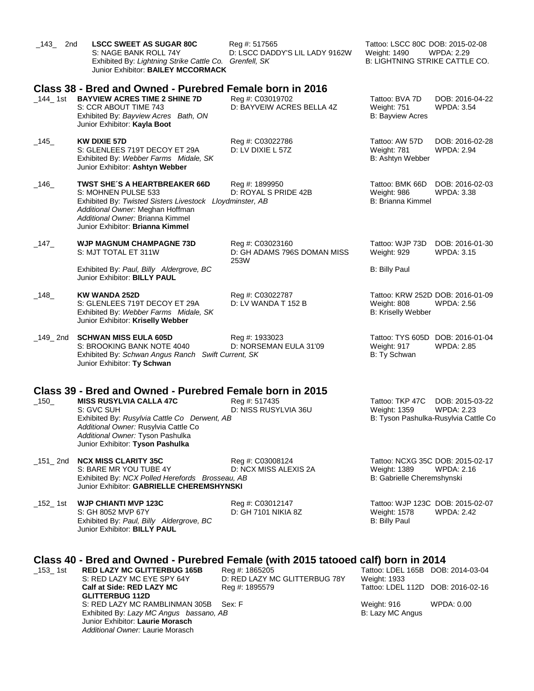| $\_$ 143 $\_$<br>2nd | <b>LSCC SWEET AS SUGAR 80C</b><br>S: NAGE BANK ROLL 74Y<br>Exhibited By: Lightning Strike Cattle Co. Grenfell, SK<br>Junior Exhibitor: BAILEY MCCORMACK                                                                                                                  | Reg #: 517565<br>D: LSCC DADDY'S LIL LADY 9162W                   | Tattoo: LSCC 80C DOB: 2015-02-08<br>Weight: 1490<br>WPDA: 2.29<br><b>B: LIGHTNING STRIKE CATTLE CO.</b>         |
|----------------------|--------------------------------------------------------------------------------------------------------------------------------------------------------------------------------------------------------------------------------------------------------------------------|-------------------------------------------------------------------|-----------------------------------------------------------------------------------------------------------------|
| $\_$ 144 $\_$ 1st    | Class 38 - Bred and Owned - Purebred Female born in 2016<br><b>BAYVIEW ACRES TIME 2 SHINE 7D</b><br>S: CCR ABOUT TIME 743<br>Exhibited By: Bayview Acres Bath, ON<br>Junior Exhibitor: Kayla Boot                                                                        | Reg #: C03019702<br>D: BAYVEIW ACRES BELLA 4Z                     | Tattoo: BVA 7D<br>DOB: 2016-04-22<br>Weight: 751<br><b>WPDA: 3.54</b><br><b>B: Bayview Acres</b>                |
| $-145$               | <b>KW DIXIE 57D</b><br>S: GLENLEES 719T DECOY ET 29A<br>Exhibited By: Webber Farms Midale, SK<br>Junior Exhibitor: Ashtyn Webber                                                                                                                                         | Reg #: C03022786<br>D: LV DIXIE L 57Z                             | Tattoo: AW 57D<br>DOB: 2016-02-28<br>Weight: 781<br><b>WPDA: 2.94</b><br>B: Ashtyn Webber                       |
| $\_146$              | <b>TWST SHE'S A HEARTBREAKER 66D</b><br>S: MOHNEN PULSE 533<br>Exhibited By: Twisted Sisters Livestock Lloydminster, AB<br>Additional Owner: Meghan Hoffman<br>Additional Owner: Brianna Kimmel<br>Junior Exhibitor: Brianna Kimmel                                      | Reg #: 1899950<br>D: ROYAL S PRIDE 42B                            | Tattoo: BMK 66D<br>DOB: 2016-02-03<br>Weight: 986<br><b>WPDA: 3.38</b><br>B: Brianna Kimmel                     |
| $-147$               | <b>WJP MAGNUM CHAMPAGNE 73D</b><br>S: MJT TOTAL ET 311W                                                                                                                                                                                                                  | Reg #: C03023160<br>D: GH ADAMS 796S DOMAN MISS<br>253W           | Tattoo: WJP 73D<br>DOB: 2016-01-30<br>Weight: 929<br><b>WPDA: 3.15</b>                                          |
|                      | Exhibited By: Paul, Billy Aldergrove, BC<br>Junior Exhibitor: BILLY PAUL                                                                                                                                                                                                 |                                                                   | <b>B: Billy Paul</b>                                                                                            |
| $\_148$              | <b>KW WANDA 252D</b><br>S: GLENLEES 719T DECOY ET 29A<br>Exhibited By: Webber Farms Midale, SK<br>Junior Exhibitor: Kriselly Webber                                                                                                                                      | Reg #: C03022787<br>D: LV WANDA T 152 B                           | Tattoo: KRW 252D DOB: 2016-01-09<br>Weight: 808<br>WPDA: 2.56<br>B: Kriselly Webber                             |
| $\_149\_2$ nd        | <b>SCHWAN MISS EULA 605D</b><br>S: BROOKING BANK NOTE 4040<br>Exhibited By: Schwan Angus Ranch Swift Current, SK<br>Junior Exhibitor: Ty Schwan                                                                                                                          | Reg #: 1933023<br>D: NORSEMAN EULA 31'09                          | Tattoo: TYS 605D DOB: 2016-01-04<br>Weight: 917<br><b>WPDA: 2.85</b><br>B: Ty Schwan                            |
| $-150$               | Class 39 - Bred and Owned - Purebred Female born in 2015<br><b>MISS RUSYLVIA CALLA 47C</b><br>S: GVC SUH<br>Exhibited By: Rusylvia Cattle Co Derwent, AB<br>Additional Owner: Rusylvia Cattle Co<br>Additional Owner: Tyson Pashulka<br>Junior Exhibitor: Tyson Pashulka | Reg #: 517435<br>D: NISS RUSYLVIA 36U                             | Tattoo: TKP 47C<br>DOB: 2015-03-22<br><b>WPDA: 2.23</b><br>Weight: 1359<br>B: Tyson Pashulka-Rusylvia Cattle Co |
|                      | <b>NCX MISS CLARITY 35C</b><br>S: BARE MR YOU TUBE 4Y<br>Exhibited By: NCX Polled Herefords Brosseau, AB<br>Junior Exhibitor: GABRIELLE CHEREMSHYNSKI                                                                                                                    | Reg #: C03008124<br>D: NCX MISS ALEXIS 2A                         | Tattoo: NCXG 35C DOB: 2015-02-17<br>Weight: 1389<br>WPDA: 2.16<br>B: Gabrielle Cheremshynski                    |
| $\_$ 152 $\_$ 1st    | <b>WJP CHIANTI MVP 123C</b><br>S: GH 8052 MVP 67Y<br>Exhibited By: Paul, Billy Aldergrove, BC<br>Junior Exhibitor: BILLY PAUL                                                                                                                                            | Reg #: C03012147<br>D: GH 7101 NIKIA 8Z                           | Tattoo: WJP 123C DOB: 2015-02-07<br>Weight: 1578<br><b>WPDA: 2.42</b><br><b>B: Billy Paul</b>                   |
| $\_153\_1st$         | Class 40 - Bred and Owned - Purebred Female (with 2015 tatooed calf) born in 2014<br><b>RED LAZY MC GLITTERBUG 165B</b><br>S: RED LAZY MC EYE SPY 64Y<br>Calf at Side: RED LAZY MC<br><b>GLITTERBUG 112D</b>                                                             | Reg #: 1865205<br>D: RED LAZY MC GLITTERBUG 78Y<br>Reg #: 1895579 | Tattoo: LDEL 165B DOB: 2014-03-04<br>Weight: 1933<br>Tattoo: LDEL 112D DOB: 2016-02-16                          |
|                      | S: RED LAZY MC RAMBLINMAN 305B<br>Exhibited By: Lazy MC Angus bassano, AB<br>Junior Exhibitor: Laurie Morasch                                                                                                                                                            | Sex: F                                                            | Weight: 916<br>WPDA: 0.00<br>B: Lazy MC Angus                                                                   |

*Additional Owner:* Laurie Morasch